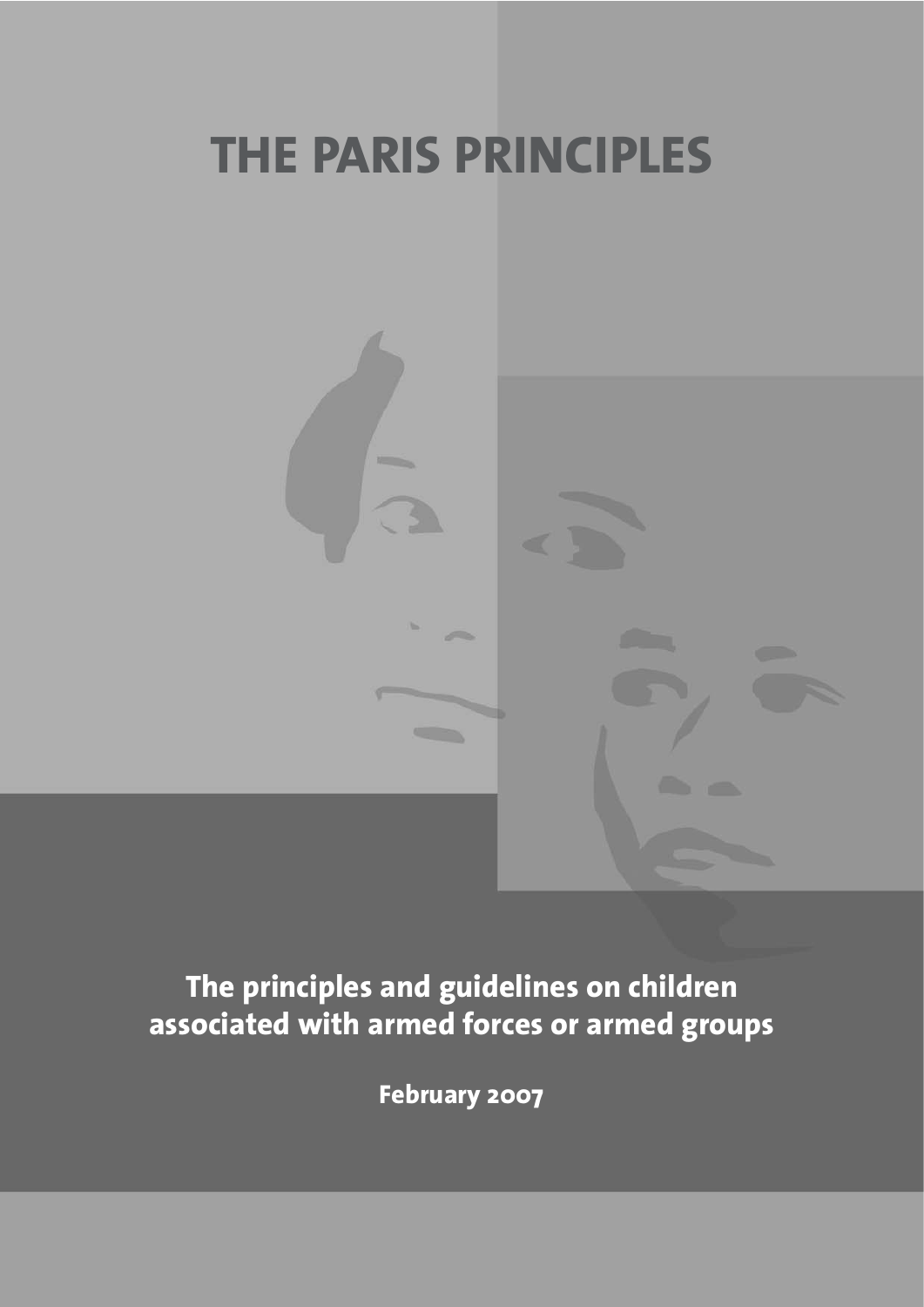# **THE PARIS PRINCIPLES**

# 

# **The principles and guidelines on children associated with armed forces or armed groups**

**February 2007**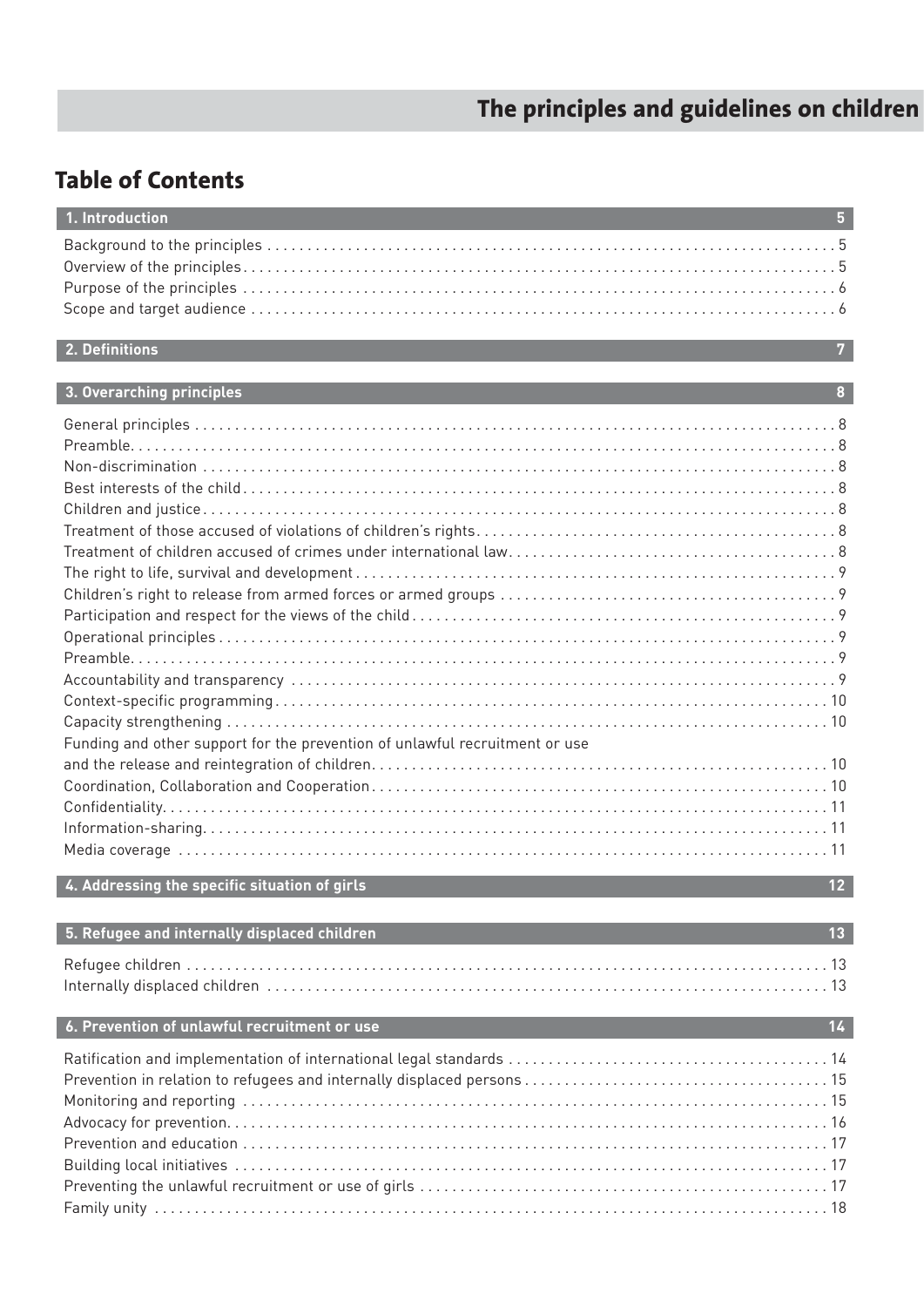# **Table of Contents**

| 1. Introduction | - 51 |
|-----------------|------|
|                 |      |
|                 |      |
|                 |      |
|                 |      |

### **2. Definitions 7**

| 3. Overarching principles<br>$\mathbf{a}$                                   |
|-----------------------------------------------------------------------------|
|                                                                             |
|                                                                             |
|                                                                             |
|                                                                             |
|                                                                             |
|                                                                             |
|                                                                             |
|                                                                             |
|                                                                             |
|                                                                             |
|                                                                             |
|                                                                             |
|                                                                             |
|                                                                             |
|                                                                             |
| Funding and other support for the prevention of unlawful recruitment or use |
|                                                                             |
|                                                                             |
|                                                                             |
|                                                                             |
|                                                                             |
|                                                                             |

# **4. Addressing the specific situation of girls 12**

| 5. Refugee and internally displaced children |  |
|----------------------------------------------|--|
|                                              |  |
|                                              |  |

### **6. Prevention of unlawful recruitment or use** 14 and 14 and 14 and 14 and 14 and 14 and 14 and 14 and 14 and 14 and 14 and 14 and 14 and 14 and 14 and 14 and 14 and 14 and 14 and 14 and 14 and 14 and 14 and 14 and 14 and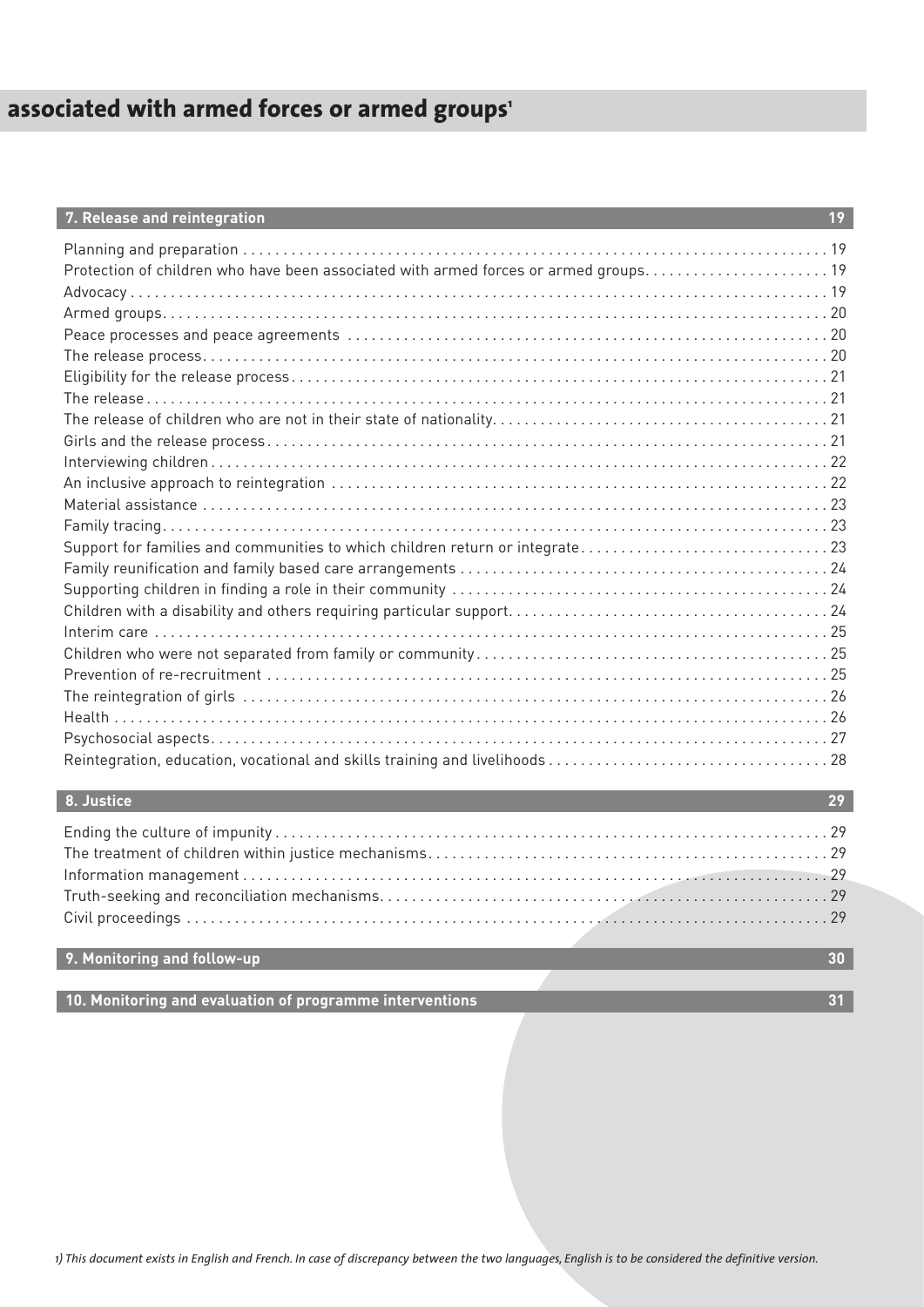# associated with armed forces or armed groups'

### **7. Release and reintegration 19**

| Support for families and communities to which children return or integrate23 |  |
|------------------------------------------------------------------------------|--|
|                                                                              |  |
|                                                                              |  |
|                                                                              |  |
|                                                                              |  |
|                                                                              |  |
|                                                                              |  |
|                                                                              |  |
|                                                                              |  |
|                                                                              |  |
|                                                                              |  |

### **8. Justice 29**

### **9. Monitoring and follow-up 30**

### **10. Monitoring and evaluation of programme interventions and and analyzing the state of the state of the state of the state of the state of the state of the state of the state of the state of the state of the state of the**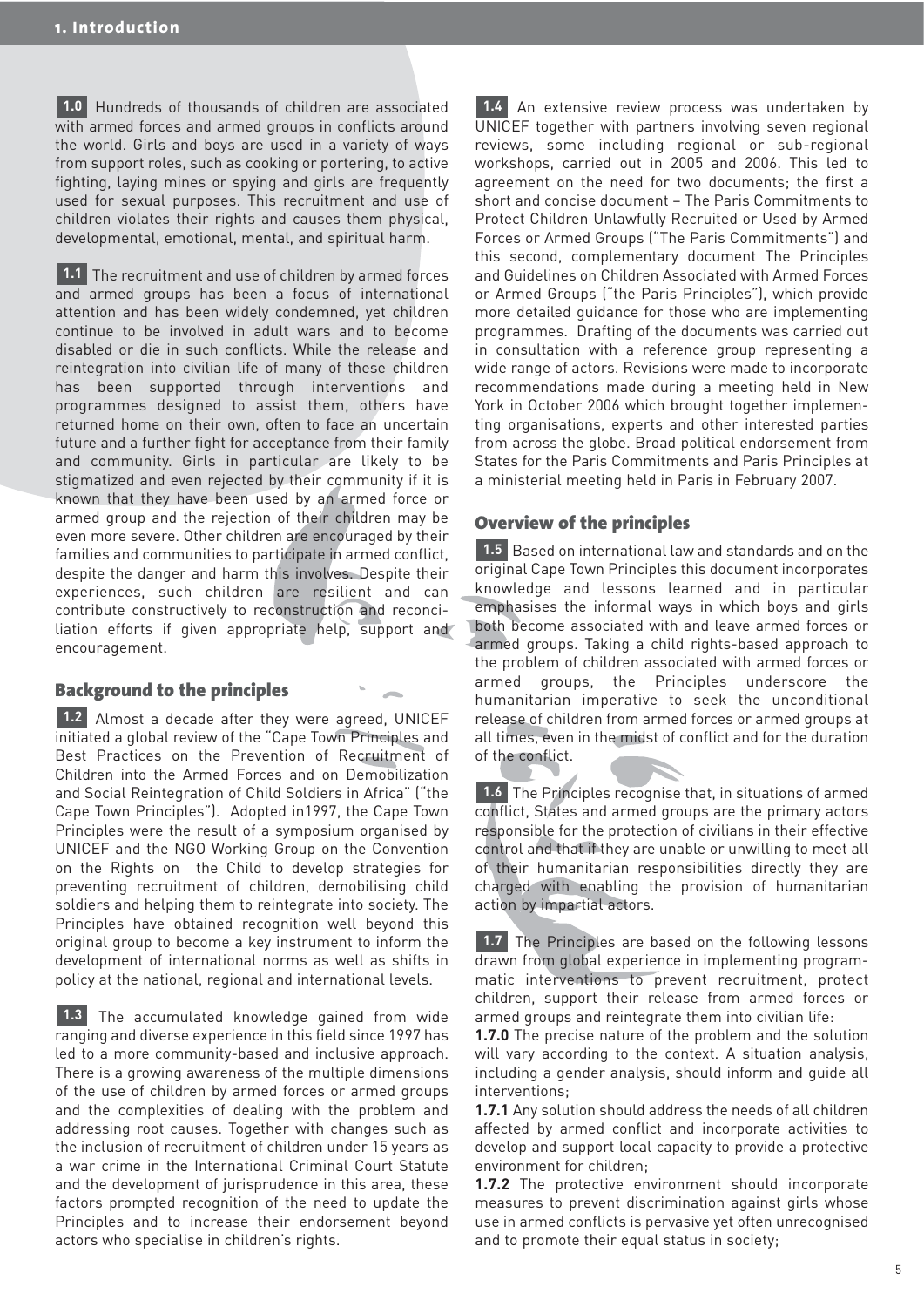1.0 Hundreds of thousands of children are associated with armed forces and armed groups in conflicts around the world. Girls and boys are used in a variety of ways from support roles, such as cooking or portering, to active fighting, laying mines or spying and girls are frequently used for sexual purposes. This recruitment and use of children violates their rights and causes them physical, developmental, emotional, mental, and spiritual harm.

1.1 The recruitment and use of children by armed forces and armed groups has been a focus of international attention and has been widely condemned, yet children continue to be involved in adult wars and to become disabled or die in such conflicts. While the release and reintegration into civilian life of many of these children has been supported through interventions and programmes designed to assist them, others have returned home on their own, often to face an uncertain future and a further fight for acceptance from their family and community. Girls in particular are likely to be stigmatized and even rejected by their community if it is known that they have been used by an armed force or armed group and the rejection of their children may be even more severe. Other children are encouraged by their families and communities to participate in armed conflict, despite the danger and harm this involves. Despite their experiences, such children are resilient and can contribute constructively to reconstruction and reconciliation efforts if given appropriate help, support and encouragement.

### **Background to the principles**

1.2 Almost a decade after they were agreed, UNICEF initiated a global review of the "Cape Town Principles and Best Practices on the Prevention of Recruitment of Children into the Armed Forces and on Demobilization and Social Reintegration of Child Soldiers in Africa" ("the Cape Town Principles"). Adopted in1997, the Cape Town Principles were the result of a symposium organised by UNICEF and the NGO Working Group on the Convention on the Rights on the Child to develop strategies for preventing recruitment of children, demobilising child soldiers and helping them to reintegrate into society. The Principles have obtained recognition well beyond this original group to become a key instrument to inform the development of international norms as well as shifts in policy at the national, regional and international levels.

1.3 The accumulated knowledge gained from wide ranging and diverse experience in this field since 1997 has led to a more community-based and inclusive approach. There is a growing awareness of the multiple dimensions of the use of children by armed forces or armed groups and the complexities of dealing with the problem and addressing root causes. Together with changes such as the inclusion of recruitment of children under 15 years as a war crime in the International Criminal Court Statute and the development of jurisprudence in this area, these factors prompted recognition of the need to update the Principles and to increase their endorsement beyond actors who specialise in children's rights.

1.4 An extensive review process was undertaken by UNICEF together with partners involving seven regional reviews, some including regional or sub-regional workshops, carried out in 2005 and 2006. This led to agreement on the need for two documents; the first a short and concise document – The Paris Commitments to Protect Children Unlawfully Recruited or Used by Armed Forces or Armed Groups ("The Paris Commitments") and this second, complementary document The Principles and Guidelines on Children Associated with Armed Forces or Armed Groups ("the Paris Principles"), which provide more detailed guidance for those who are implementing programmes. Drafting of the documents was carried out in consultation with a reference group representing a wide range of actors. Revisions were made to incorporate recommendations made during a meeting held in New York in October 2006 which brought together implementing organisations, experts and other interested parties from across the globe. Broad political endorsement from States for the Paris Commitments and Paris Principles at a ministerial meeting held in Paris in February 2007.

### **Overview of the principles**

1.5 Based on international law and standards and on the original Cape Town Principles this document incorporates knowledge and lessons learned and in particular emphasises the informal ways in which boys and girls both become associated with and leave armed forces or armed groups. Taking a child rights-based approach to the problem of children associated with armed forces or armed groups, the Principles underscore the humanitarian imperative to seek the unconditional release of children from armed forces or armed groups at all times, even in the midst of conflict and for the duration of the conflict.

The Principles recognise that, in situations of armed **1.6** conflict, States and armed groups are the primary actors responsible for the protection of civilians in their effective control and that if they are unable or unwilling to meet all of their humanitarian responsibilities directly they are charged with enabling the provision of humanitarian action by impartial actors.

1.7 The Principles are based on the following lessons drawn from global experience in implementing programmatic interventions to prevent recruitment, protect children, support their release from armed forces or armed groups and reintegrate them into civilian life:

**1.7.0** The precise nature of the problem and the solution will vary according to the context. A situation analysis, including a gender analysis, should inform and guide all interventions;

**1.7.1** Any solution should address the needs of all children affected by armed conflict and incorporate activities to develop and support local capacity to provide a protective environment for children;

**1.7.2** The protective environment should incorporate measures to prevent discrimination against girls whose use in armed conflicts is pervasive yet often unrecognised and to promote their equal status in society;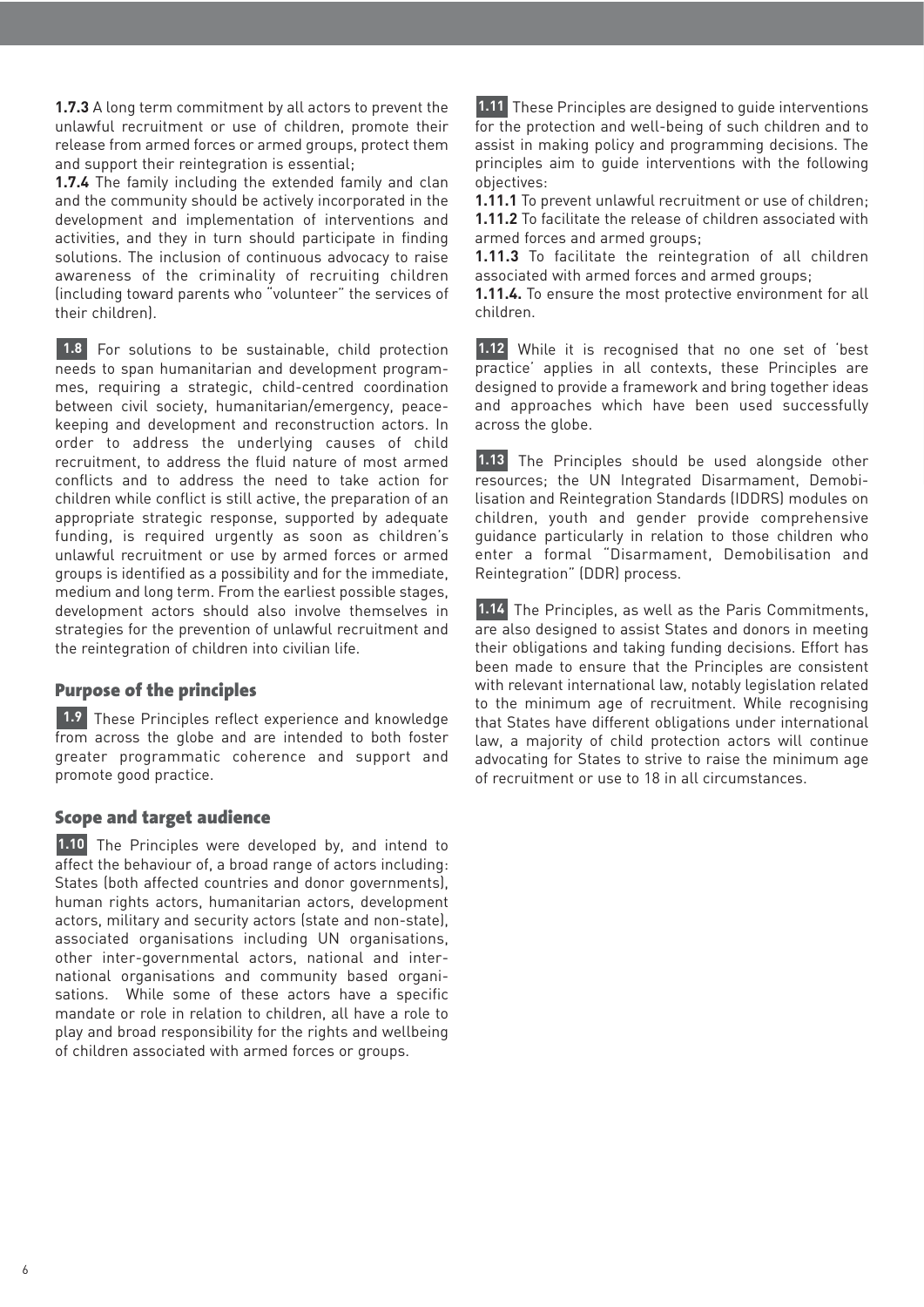**1.7.3** A long term commitment by all actors to prevent the unlawful recruitment or use of children, promote their release from armed forces or armed groups, protect them and support their reintegration is essential;

**1.7.4** The family including the extended family and clan and the community should be actively incorporated in the development and implementation of interventions and activities, and they in turn should participate in finding solutions. The inclusion of continuous advocacy to raise awareness of the criminality of recruiting children (including toward parents who "volunteer" the services of their children).

For solutions to be sustainable, child protection **1.8** needs to span humanitarian and development programmes, requiring a strategic, child-centred coordination between civil society, humanitarian/emergency, peacekeeping and development and reconstruction actors. In order to address the underlying causes of child recruitment, to address the fluid nature of most armed conflicts and to address the need to take action for children while conflict is still active, the preparation of an appropriate strategic response, supported by adequate funding, is required urgently as soon as children's unlawful recruitment or use by armed forces or armed groups is identified as a possibility and for the immediate, medium and long term. From the earliest possible stages, development actors should also involve themselves in strategies for the prevention of unlawful recruitment and the reintegration of children into civilian life.

### **Purpose of the principles**

1.9 These Principles reflect experience and knowledge from across the globe and are intended to both foster greater programmatic coherence and support and promote good practice.

### **Scope and target audience**

1.10 The Principles were developed by, and intend to affect the behaviour of, a broad range of actors including: States (both affected countries and donor governments), human rights actors, humanitarian actors, development actors, military and security actors (state and non-state), associated organisations including UN organisations, other inter-governmental actors, national and international organisations and community based organisations. While some of these actors have a specific mandate or role in relation to children, all have a role to play and broad responsibility for the rights and wellbeing of children associated with armed forces or groups.

1.11 These Principles are designed to guide interventions for the protection and well-being of such children and to assist in making policy and programming decisions. The principles aim to guide interventions with the following objectives:

**1.11.1** To prevent unlawful recruitment or use of children; **1.11.2** To facilitate the release of children associated with armed forces and armed groups;

**1.11.3** To facilitate the reintegration of all children associated with armed forces and armed groups;

**1.11.4.** To ensure the most protective environment for all children.

While it is recognised that no one set of 'best **1.12** practice' applies in all contexts, these Principles are designed to provide a framework and bring together ideas and approaches which have been used successfully across the globe.

1.13 The Principles should be used alongside other resources; the UN Integrated Disarmament, Demobilisation and Reintegration Standards (IDDRS) modules on children, youth and gender provide comprehensive guidance particularly in relation to those children who enter a formal "Disarmament, Demobilisation and Reintegration" (DDR) process.

1.14 The Principles, as well as the Paris Commitments, are also designed to assist States and donors in meeting their obligations and taking funding decisions. Effort has been made to ensure that the Principles are consistent with relevant international law, notably legislation related to the minimum age of recruitment. While recognising that States have different obligations under international law, a majority of child protection actors will continue advocating for States to strive to raise the minimum age of recruitment or use to 18 in all circumstances.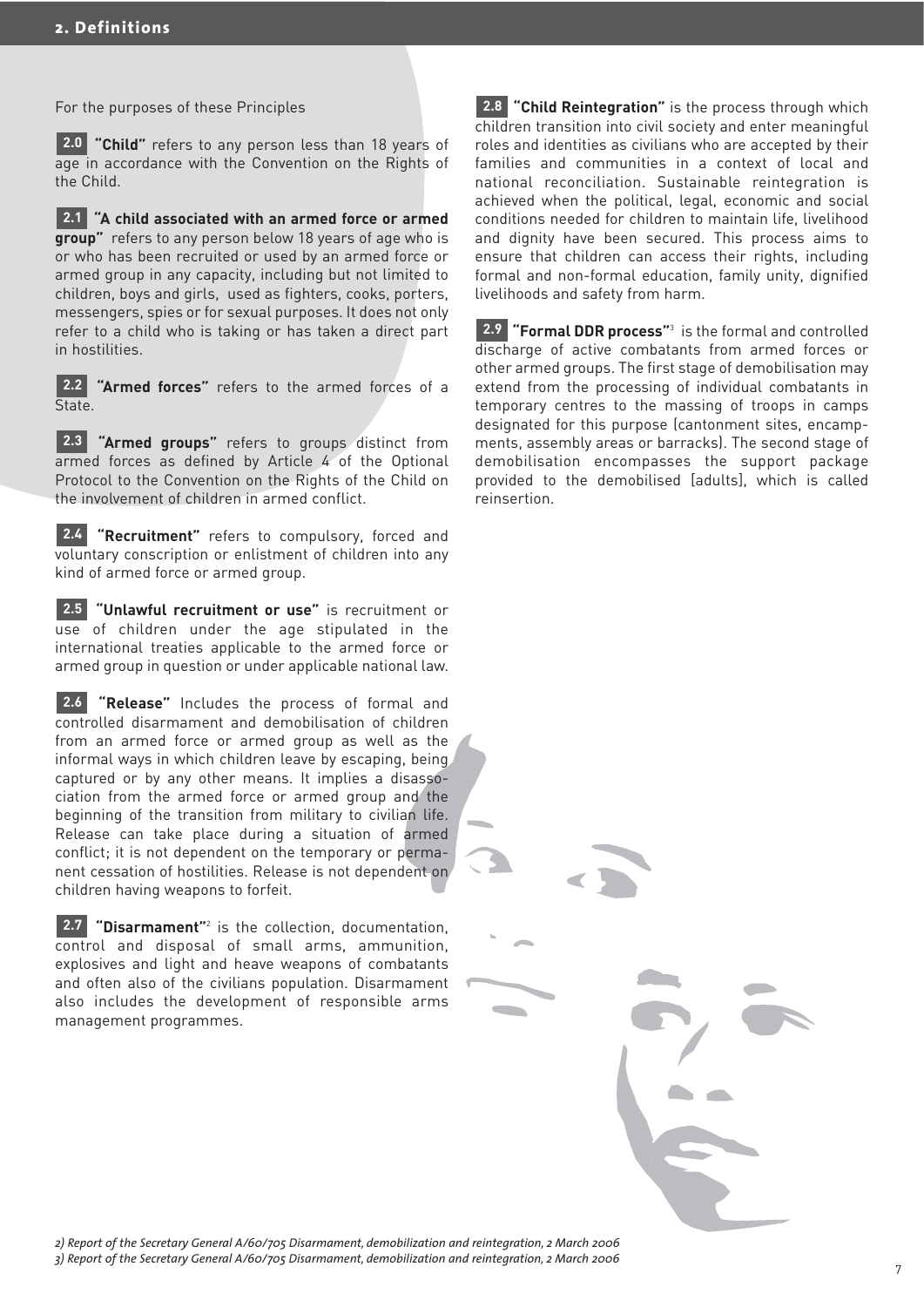For the purposes of these Principles

**"Child"** refers to any person less than 18 years of **2.0** age in accordance with the Convention on the Rights of the Child.

**"A child associated with an armed force or armed 2.1 group"** refers to any person below 18 years of age who is or who has been recruited or used by an armed force or armed group in any capacity, including but not limited to children, boys and girls, used as fighters, cooks, porters, messengers, spies or for sexual purposes. It does not only refer to a child who is taking or has taken a direct part in hostilities.

**"Armed forces"** refers to the armed forces of a **2.2 State** 

**"Armed groups"** refers to groups distinct from **2.3** armed forces as defined by Article 4 of the Optional Protocol to the Convention on the Rights of the Child on the involvement of children in armed conflict.

**"Recruitment"** refers to compulsory, forced and **2.4** voluntary conscription or enlistment of children into any kind of armed force or armed group.

**"Unlawful recruitment or use"** is recruitment or **2.5** use of children under the age stipulated in the international treaties applicable to the armed force or armed group in question or under applicable national law.

**"Release"** Includes the process of formal and **2.6** controlled disarmament and demobilisation of children from an armed force or armed group as well as the informal ways in which children leave by escaping, being captured or by any other means. It implies a disassociation from the armed force or armed group and the beginning of the transition from military to civilian life. Release can take place during a situation of armed conflict; it is not dependent on the temporary or permanent cessation of hostilities. Release is not dependent on children having weapons to forfeit.

**"Disarmament"**<sup>2</sup> is the collection, documentation, **2.7** control and disposal of small arms, ammunition, explosives and light and heave weapons of combatants and often also of the civilians population. Disarmament also includes the development of responsible arms management programmes.

**"Child Reintegration"** is the process through which **2.8** children transition into civil society and enter meaningful roles and identities as civilians who are accepted by their families and communities in a context of local and national reconciliation. Sustainable reintegration is achieved when the political, legal, economic and social conditions needed for children to maintain life, livelihood and dignity have been secured. This process aims to ensure that children can access their rights, including formal and non-formal education, family unity, dignified livelihoods and safety from harm.

**"Formal DDR process"**<sup>3</sup> is the formal and controlled **2.9** discharge of active combatants from armed forces or other armed groups. The first stage of demobilisation may extend from the processing of individual combatants in temporary centres to the massing of troops in camps designated for this purpose (cantonment sites, encampments, assembly areas or barracks). The second stage of demobilisation encompasses the support package provided to the demobilised [adults], which is called reinsertion.

*2) Report of the Secretary General A/60/705 Disarmament, demobilization and reintegration, 2 March 2006 3) Report of the Secretary General A/60/705 Disarmament, demobilization and reintegration, 2 March 2006*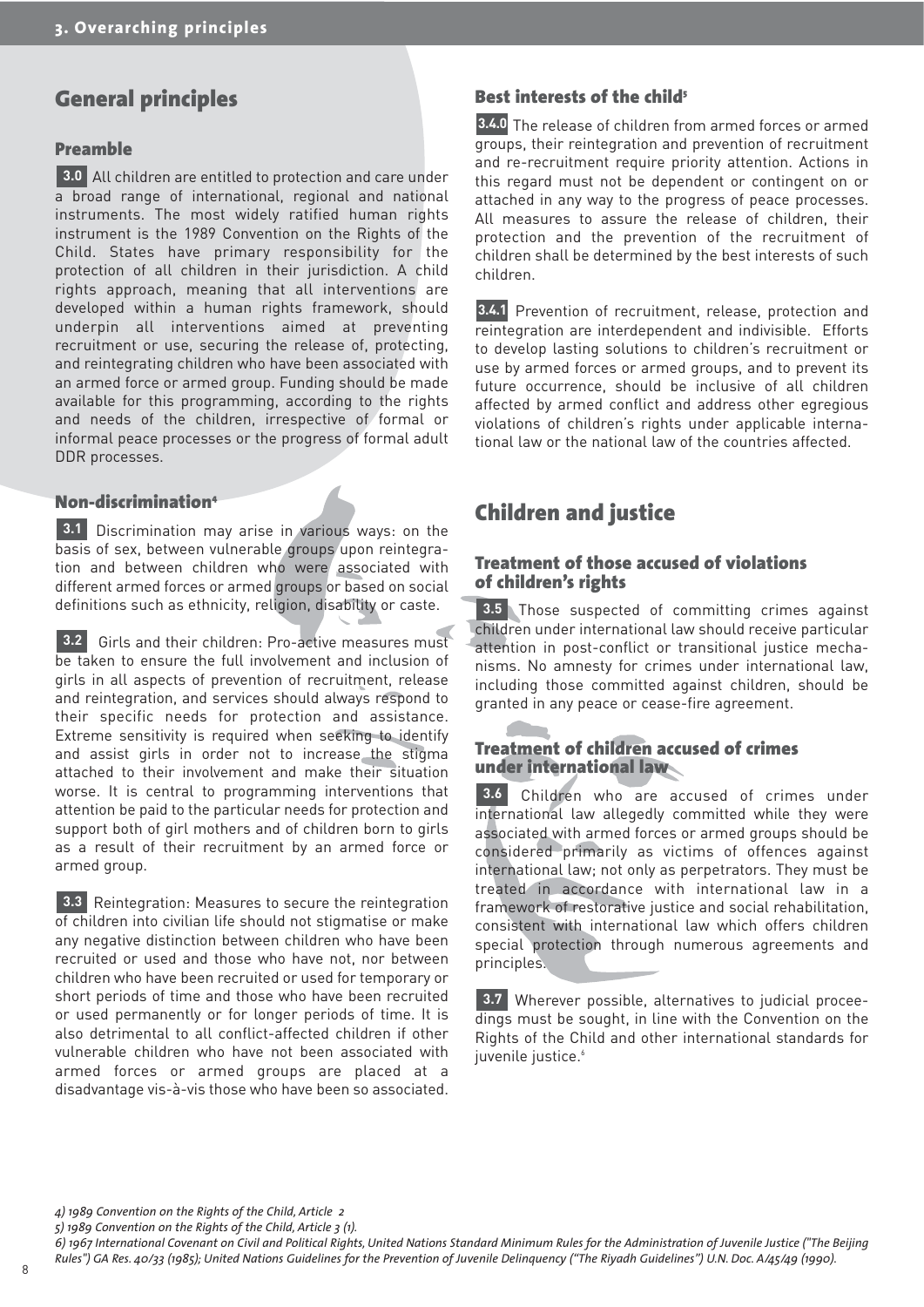# **General principles**

### **Preamble**

All children are entitled to protection and care under **3.0** a broad range of international, regional and national instruments. The most widely ratified human rights instrument is the 1989 Convention on the Rights of the Child. States have primary responsibility for the protection of all children in their jurisdiction. A child rights approach, meaning that all interventions are developed within a human rights framework, should underpin all interventions aimed at preventing recruitment or use, securing the release of, protecting, and reintegrating children who have been associated with an armed force or armed group. Funding should be made available for this programming, according to the rights and needs of the children, irrespective of formal or informal peace processes or the progress of formal adult DDR processes.

### **Non-discrimination4**

Discrimination may arise in various ways: on the **3.1** basis of sex, between vulnerable groups upon reintegration and between children who were associated with different armed forces or armed groups or based on social definitions such as ethnicity, religion, disability or caste.

Girls and their children: Pro-active measures must **3.2** be taken to ensure the full involvement and inclusion of girls in all aspects of prevention of recruitment, release and reintegration, and services should always respond to their specific needs for protection and assistance. Extreme sensitivity is required when seeking to identify and assist girls in order not to increase the stigma attached to their involvement and make their situation worse. It is central to programming interventions that attention be paid to the particular needs for protection and support both of girl mothers and of children born to girls as a result of their recruitment by an armed force or armed group.

**3.3** Reintegration: Measures to secure the reintegration of children into civilian life should not stigmatise or make any negative distinction between children who have been recruited or used and those who have not, nor between children who have been recruited or used for temporary or short periods of time and those who have been recruited or used permanently or for longer periods of time. It is also detrimental to all conflict-affected children if other vulnerable children who have not been associated with armed forces or armed groups are placed at a disadvantage vis-à-vis those who have been so associated.

### **Best interests of the child5**

**3.4.0** The release of children from armed forces or armed groups, their reintegration and prevention of recruitment and re-recruitment require priority attention. Actions in this regard must not be dependent or contingent on or attached in any way to the progress of peace processes. All measures to assure the release of children, their protection and the prevention of the recruitment of children shall be determined by the best interests of such children.

**3.4.1** Prevention of recruitment, release, protection and reintegration are interdependent and indivisible. Efforts to develop lasting solutions to children's recruitment or use by armed forces or armed groups, and to prevent its future occurrence, should be inclusive of all children affected by armed conflict and address other egregious violations of children's rights under applicable international law or the national law of the countries affected.

# **Children and justice**

### **Treatment of those accused of violations of children's rights**

**3.5** Those suspected of committing crimes against children under international law should receive particular attention in post-conflict or transitional justice mechanisms. No amnesty for crimes under international law, including those committed against children, should be granted in any peace or cease-fire agreement.

### **Treatment of children accused of crimes under international law**

Children who are accused of crimes under **3.6** international law allegedly committed while they were associated with armed forces or armed groups should be considered primarily as victims of offences against international law; not only as perpetrators. They must be treated in accordance with international law in a framework of restorative justice and social rehabilitation, consistent with international law which offers children special protection through numerous agreements and principles.

Wherever possible, alternatives to judicial procee-**3.7** dings must be sought, in line with the Convention on the Rights of the Child and other international standards for juvenile justice.<sup>6</sup>

*4) 1989 Convention on the Rights of the Child, Article 2*

*5) 1989 Convention on the Rights of the Child, Article 3 (1).*

*<sup>6) 1967</sup> International Covenant on Civil and Political Rights, United Nations Standard Minimum Rules for the Administration of Juvenile Justice ("The Beijing*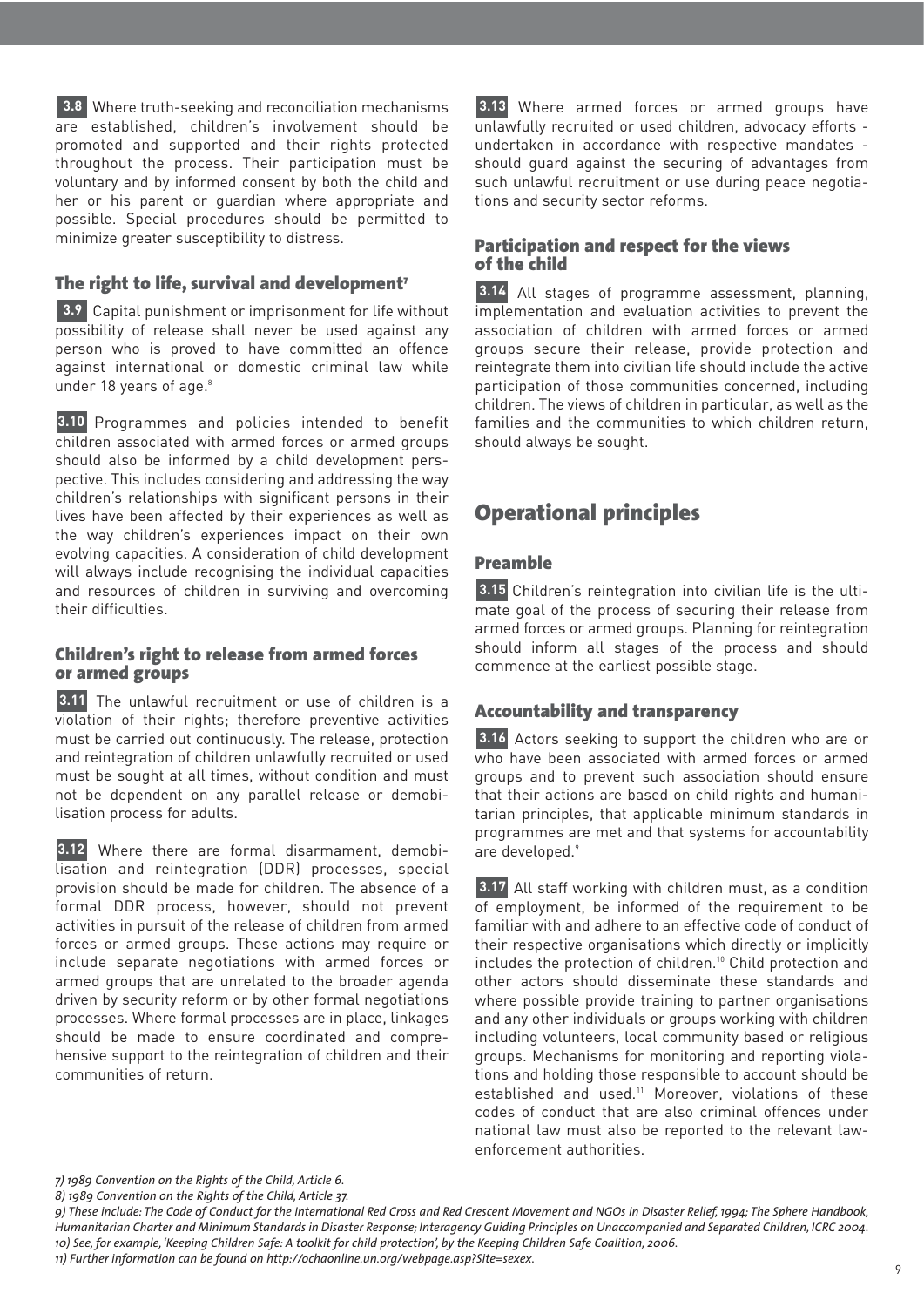Where truth-seeking and reconciliation mechanisms **3.8** are established, children's involvement should be promoted and supported and their rights protected throughout the process. Their participation must be voluntary and by informed consent by both the child and her or his parent or guardian where appropriate and possible. Special procedures should be permitted to minimize greater susceptibility to distress.

### **The right to life, survival and development7**

Capital punishment or imprisonment for life without **3.9** possibility of release shall never be used against any person who is proved to have committed an offence against international or domestic criminal law while under 18 years of age.<sup>8</sup>

Programmes and policies intended to benefit **3.10** children associated with armed forces or armed groups should also be informed by a child development perspective. This includes considering and addressing the way children's relationships with significant persons in their lives have been affected by their experiences as well as the way children's experiences impact on their own evolving capacities. A consideration of child development will always include recognising the individual capacities and resources of children in surviving and overcoming their difficulties.

### **Children's right to release from armed forces or armed groups**

3.11 The unlawful recruitment or use of children is a violation of their rights; therefore preventive activities must be carried out continuously. The release, protection and reintegration of children unlawfully recruited or used must be sought at all times, without condition and must not be dependent on any parallel release or demobilisation process for adults.

Where there are formal disarmament, demobi-**3.12** lisation and reintegration (DDR) processes, special provision should be made for children. The absence of a formal DDR process, however, should not prevent activities in pursuit of the release of children from armed forces or armed groups. These actions may require or include separate negotiations with armed forces or armed groups that are unrelated to the broader agenda driven by security reform or by other formal negotiations processes. Where formal processes are in place, linkages should be made to ensure coordinated and comprehensive support to the reintegration of children and their communities of return.

Where armed forces or armed groups have **3.13** unlawfully recruited or used children, advocacy efforts undertaken in accordance with respective mandates should guard against the securing of advantages from such unlawful recruitment or use during peace negotiations and security sector reforms.

### **Participation and respect for the views of the child**

All stages of programme assessment, planning, **3.14** implementation and evaluation activities to prevent the association of children with armed forces or armed groups secure their release, provide protection and reintegrate them into civilian life should include the active participation of those communities concerned, including children. The views of children in particular, as well as the families and the communities to which children return, should always be sought.

# **Operational principles**

### **Preamble**

3.15 Children's reintegration into civilian life is the ultimate goal of the process of securing their release from armed forces or armed groups. Planning for reintegration should inform all stages of the process and should commence at the earliest possible stage.

### **Accountability and transparency**

**3.16** Actors seeking to support the children who are or who have been associated with armed forces or armed groups and to prevent such association should ensure that their actions are based on child rights and humanitarian principles, that applicable minimum standards in programmes are met and that systems for accountability are developed.9

All staff working with children must, as a condition **3.17** of employment, be informed of the requirement to be familiar with and adhere to an effective code of conduct of their respective organisations which directly or implicitly includes the protection of children.<sup>10</sup> Child protection and other actors should disseminate these standards and where possible provide training to partner organisations and any other individuals or groups working with children including volunteers, local community based or religious groups. Mechanisms for monitoring and reporting violations and holding those responsible to account should be established and used.<sup>11</sup> Moreover, violations of these codes of conduct that are also criminal offences under national law must also be reported to the relevant lawenforcement authorities.

*7) 1989 Convention on the Rights of the Child, Article 6.*

*<sup>8) 1989</sup> Convention on the Rights of the Child, Article 37.*

*<sup>9)</sup> These include: The Code of Conduct for the International Red Cross and Red Crescent Movement and NGOs in Disaster Relief, 1994; The Sphere Handbook, Humanitarian Charter and Minimum Standards in Disaster Response; Interagency Guiding Principles on Unaccompanied and Separated Children, ICRC 2004. 10) See, for example, 'Keeping Children Safe: A toolkit for child protection', by the Keeping Children Safe Coalition, 2006. 11) Further information can be found on http://ochaonline.un.org/webpage.asp?Site=sexex.*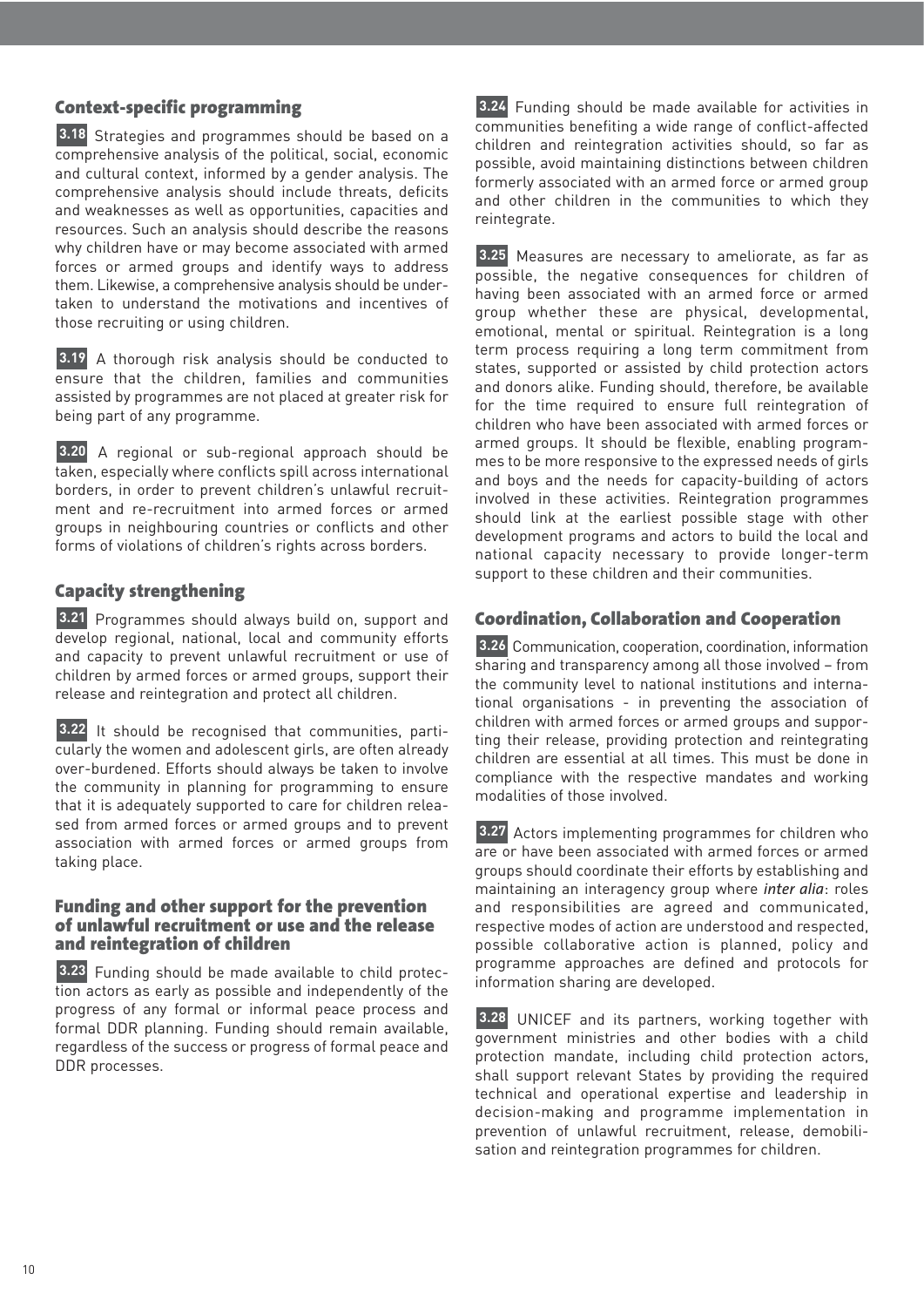### **Context-specific programming**

Strategies and programmes should be based on a **3.18** comprehensive analysis of the political, social, economic and cultural context, informed by a gender analysis. The comprehensive analysis should include threats, deficits and weaknesses as well as opportunities, capacities and resources. Such an analysis should describe the reasons why children have or may become associated with armed forces or armed groups and identify ways to address them. Likewise, a comprehensive analysis should be undertaken to understand the motivations and incentives of those recruiting or using children.

**3.19** A thorough risk analysis should be conducted to ensure that the children, families and communities assisted by programmes are not placed at greater risk for being part of any programme.

A regional or sub-regional approach should be **3.20** taken, especially where conflicts spill across international borders, in order to prevent children's unlawful recruitment and re-recruitment into armed forces or armed groups in neighbouring countries or conflicts and other forms of violations of children's rights across borders.

### **Capacity strengthening**

3.21 Programmes should always build on, support and develop regional, national, local and community efforts and capacity to prevent unlawful recruitment or use of children by armed forces or armed groups, support their release and reintegration and protect all children.

**3.22** It should be recognised that communities, particularly the women and adolescent girls, are often already over-burdened. Efforts should always be taken to involve the community in planning for programming to ensure that it is adequately supported to care for children released from armed forces or armed groups and to prevent association with armed forces or armed groups from taking place.

### **Funding and other support for the prevention of unlawful recruitment or use and the release and reintegration of children**

Funding should be made available to child protec-**3.23** tion actors as early as possible and independently of the progress of any formal or informal peace process and formal DDR planning. Funding should remain available, regardless of the success or progress of formal peace and DDR processes.

Funding should be made available for activities in **3.24** communities benefiting a wide range of conflict-affected children and reintegration activities should, so far as possible, avoid maintaining distinctions between children formerly associated with an armed force or armed group and other children in the communities to which they reintegrate.

Measures are necessary to ameliorate, as far as **3.25** possible, the negative consequences for children of having been associated with an armed force or armed group whether these are physical, developmental, emotional, mental or spiritual. Reintegration is a long term process requiring a long term commitment from states, supported or assisted by child protection actors and donors alike. Funding should, therefore, be available for the time required to ensure full reintegration of children who have been associated with armed forces or armed groups. It should be flexible, enabling programmes to be more responsive to the expressed needs of girls and boys and the needs for capacity-building of actors involved in these activities. Reintegration programmes should link at the earliest possible stage with other development programs and actors to build the local and national capacity necessary to provide longer-term support to these children and their communities.

### **Coordination, Collaboration and Cooperation**

Communication, cooperation, coordination, information **3.26** sharing and transparency among all those involved – from the community level to national institutions and international organisations - in preventing the association of children with armed forces or armed groups and supporting their release, providing protection and reintegrating children are essential at all times. This must be done in compliance with the respective mandates and working modalities of those involved.

Actors implementing programmes for children who **3.27** are or have been associated with armed forces or armed groups should coordinate their efforts by establishing and maintaining an interagency group where *inter alia*: roles and responsibilities are agreed and communicated, respective modes of action are understood and respected, possible collaborative action is planned, policy and programme approaches are defined and protocols for information sharing are developed.

UNICEF and its partners, working together with **3.28** government ministries and other bodies with a child protection mandate, including child protection actors, shall support relevant States by providing the required technical and operational expertise and leadership in decision-making and programme implementation in prevention of unlawful recruitment, release, demobilisation and reintegration programmes for children.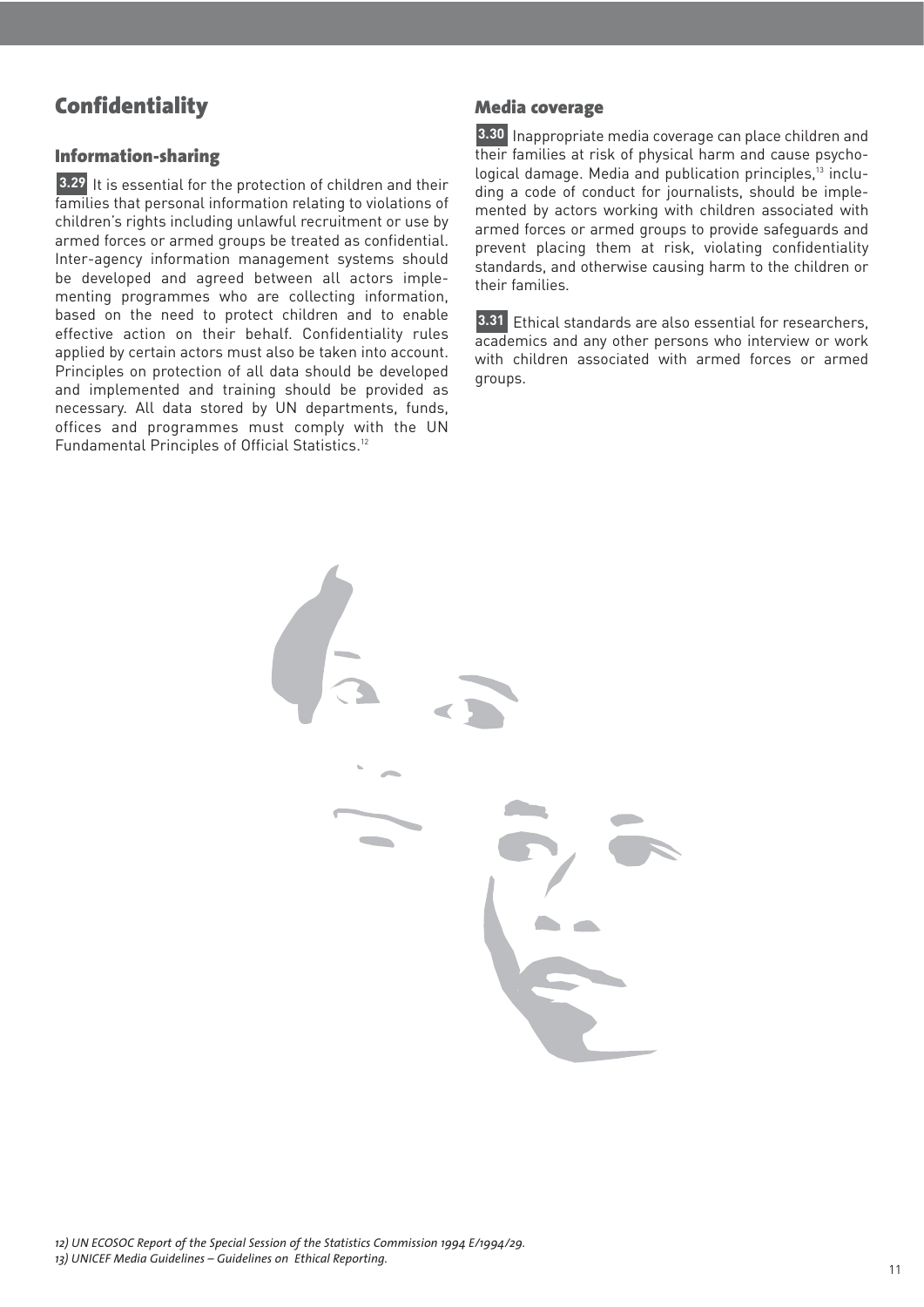# **Confidentiality**

### **Information-sharing**

**3.29** It is essential for the protection of children and their families that personal information relating to violations of children's rights including unlawful recruitment or use by armed forces or armed groups be treated as confidential. Inter-agency information management systems should be developed and agreed between all actors implementing programmes who are collecting information, based on the need to protect children and to enable effective action on their behalf. Confidentiality rules applied by certain actors must also be taken into account. Principles on protection of all data should be developed and implemented and training should be provided as necessary. All data stored by UN departments, funds, offices and programmes must comply with the UN Fundamental Principles of Official Statistics.12

### **Media coverage**

Inappropriate media coverage can place children and **3.30** their families at risk of physical harm and cause psychological damage. Media and publication principles,<sup>13</sup> including a code of conduct for journalists, should be implemented by actors working with children associated with armed forces or armed groups to provide safeguards and prevent placing them at risk, violating confidentiality standards, and otherwise causing harm to the children or their families.

Ethical standards are also essential for researchers, **3.31** academics and any other persons who interview or work with children associated with armed forces or armed groups.

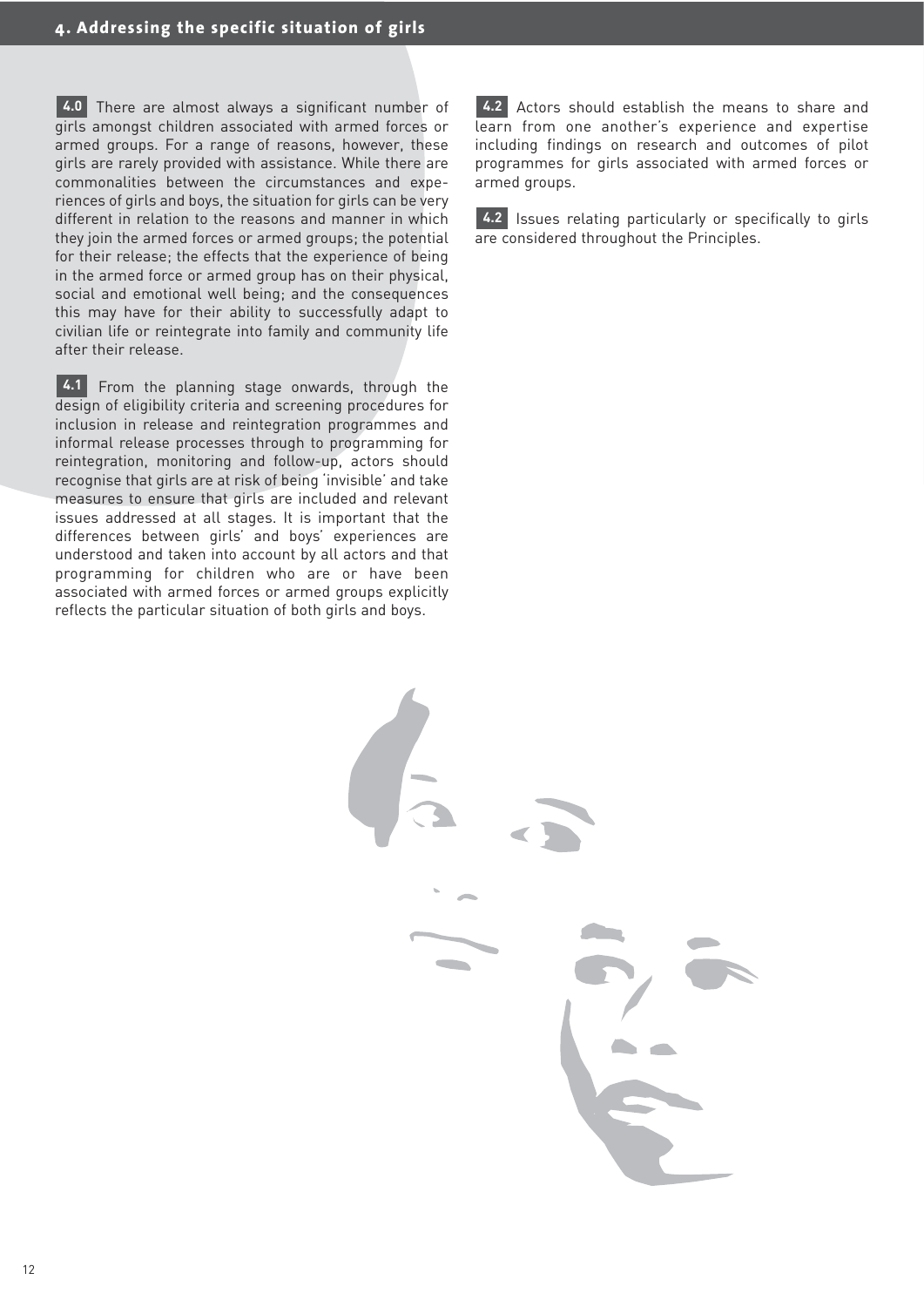There are almost always a significant number of **4.0** girls amongst children associated with armed forces or armed groups. For a range of reasons, however, these girls are rarely provided with assistance. While there are commonalities between the circumstances and experiences of girls and boys, the situation for girls can be very different in relation to the reasons and manner in which they join the armed forces or armed groups; the potential for their release; the effects that the experience of being in the armed force or armed group has on their physical, social and emotional well being; and the consequences this may have for their ability to successfully adapt to civilian life or reintegrate into family and community life after their release.

4.1 From the planning stage onwards, through the design of eligibility criteria and screening procedures for inclusion in release and reintegration programmes and informal release processes through to programming for reintegration, monitoring and follow-up, actors should recognise that girls are at risk of being 'invisible' and take measures to ensure that girls are included and relevant issues addressed at all stages. It is important that the differences between girls' and boys' experiences are understood and taken into account by all actors and that programming for children who are or have been associated with armed forces or armed groups explicitly reflects the particular situation of both girls and boys.

Actors should establish the means to share and **4.2** learn from one another's experience and expertise including findings on research and outcomes of pilot programmes for girls associated with armed forces or armed groups.

4.2 **Issues relating particularly or specifically to girls** are considered throughout the Principles.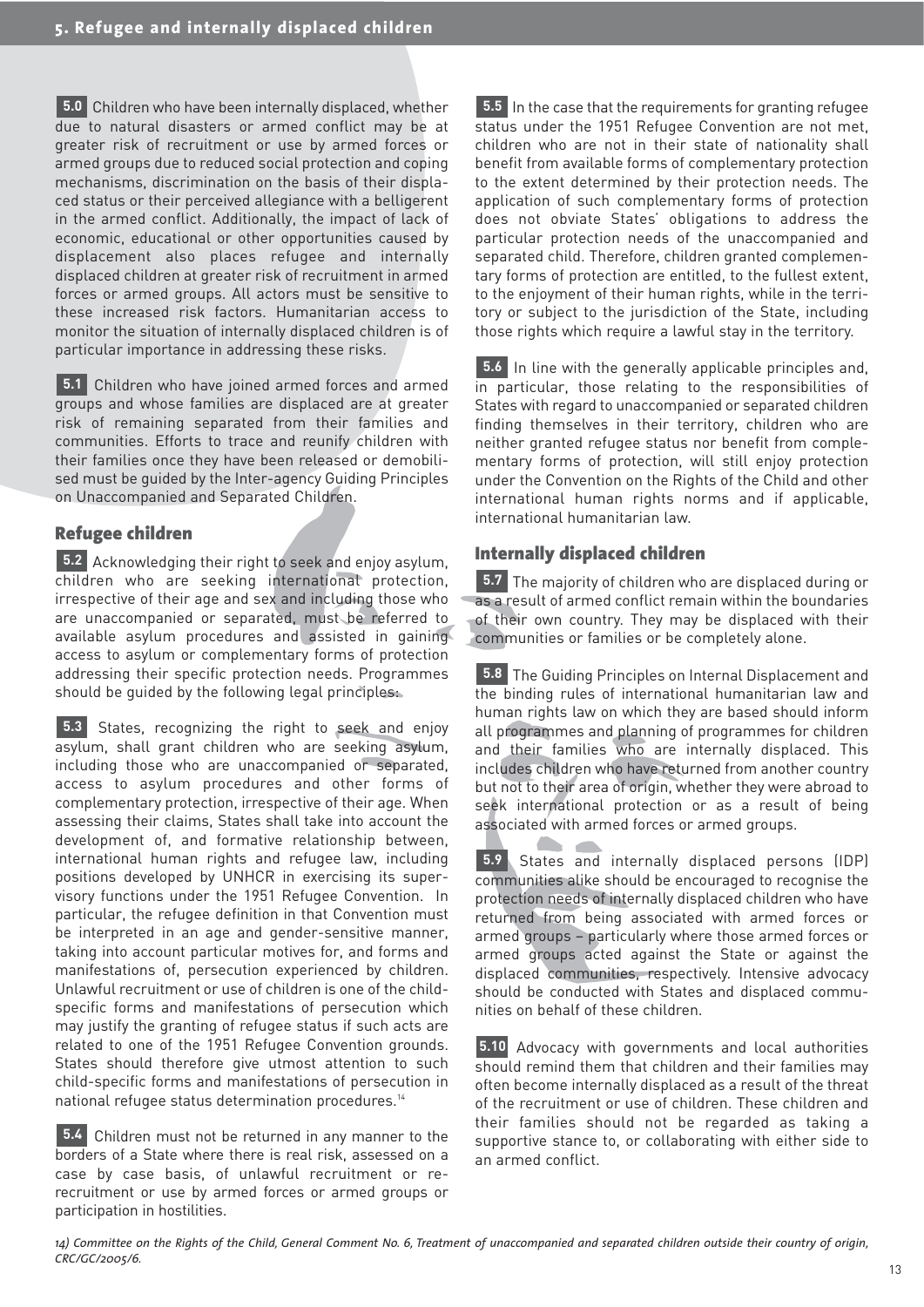Children who have been internally displaced, whether **5.0** due to natural disasters or armed conflict may be at greater risk of recruitment or use by armed forces or armed groups due to reduced social protection and coping mechanisms, discrimination on the basis of their displaced status or their perceived allegiance with a belligerent in the armed conflict. Additionally, the impact of lack of economic, educational or other opportunities caused by displacement also places refugee and internally displaced children at greater risk of recruitment in armed forces or armed groups. All actors must be sensitive to these increased risk factors. Humanitarian access to monitor the situation of internally displaced children is of particular importance in addressing these risks.

Children who have joined armed forces and armed **5.1** groups and whose families are displaced are at greater risk of remaining separated from their families and communities. Efforts to trace and reunify children with their families once they have been released or demobilised must be guided by the Inter-agency Guiding Principles on Unaccompanied and Separated Children.

### **Refugee children**

Acknowledging their right to seek and enjoy asylum, **5.2** children who are seeking international protection, irrespective of their age and sex and including those who are unaccompanied or separated, must be referred to available asylum procedures and assisted in gaining access to asylum or complementary forms of protection addressing their specific protection needs. Programmes should be quided by the following legal principles:

States, recognizing the right to seek and enjoy **5.3** asylum, shall grant children who are seeking asylum, including those who are unaccompanied or separated, access to asylum procedures and other forms of complementary protection, irrespective of their age. When assessing their claims, States shall take into account the development of, and formative relationship between, international human rights and refugee law, including positions developed by UNHCR in exercising its supervisory functions under the 1951 Refugee Convention. In particular, the refugee definition in that Convention must be interpreted in an age and gender-sensitive manner, taking into account particular motives for, and forms and manifestations of, persecution experienced by children. Unlawful recruitment or use of children is one of the childspecific forms and manifestations of persecution which may justify the granting of refugee status if such acts are related to one of the 1951 Refugee Convention grounds. States should therefore give utmost attention to such child-specific forms and manifestations of persecution in national refugee status determination procedures.<sup>14</sup>

5.4 Children must not be returned in any manner to the borders of a State where there is real risk, assessed on a case by case basis, of unlawful recruitment or rerecruitment or use by armed forces or armed groups or participation in hostilities.

5.5 In the case that the requirements for granting refugee status under the 1951 Refugee Convention are not met, children who are not in their state of nationality shall benefit from available forms of complementary protection to the extent determined by their protection needs. The application of such complementary forms of protection does not obviate States' obligations to address the particular protection needs of the unaccompanied and separated child. Therefore, children granted complementary forms of protection are entitled, to the fullest extent, to the enjoyment of their human rights, while in the territory or subject to the jurisdiction of the State, including those rights which require a lawful stay in the territory.

**5.6** In line with the generally applicable principles and, in particular, those relating to the responsibilities of States with regard to unaccompanied or separated children finding themselves in their territory, children who are neither granted refugee status nor benefit from complementary forms of protection, will still enjoy protection under the Convention on the Rights of the Child and other international human rights norms and if applicable, international humanitarian law.

### **Internally displaced children**

5.7 The majority of children who are displaced during or as a result of armed conflict remain within the boundaries of their own country. They may be displaced with their communities or families or be completely alone.

The Guiding Principles on Internal Displacement and **5.8** the binding rules of international humanitarian law and human rights law on which they are based should inform all programmes and planning of programmes for children and their families who are internally displaced. This includes children who have returned from another country but not to their area of origin, whether they were abroad to seek international protection or as a result of being associated with armed forces or armed groups.

 $\blacksquare$ **CONTRACTOR** States and internally displaced persons (IDP) **5.9** communities alike should be encouraged to recognise the protection needs of internally displaced children who have returned from being associated with armed forces or armed groups – particularly where those armed forces or armed groups acted against the State or against the displaced communities, respectively. Intensive advocacy should be conducted with States and displaced communities on behalf of these children.

5.10 Advocacy with governments and local authorities should remind them that children and their families may often become internally displaced as a result of the threat of the recruitment or use of children. These children and their families should not be regarded as taking a supportive stance to, or collaborating with either side to an armed conflict.

*14) Committee on the Rights of the Child, General Comment No. 6, Treatment of unaccompanied and separated children outside their country of origin, CRC/GC/2005/6.*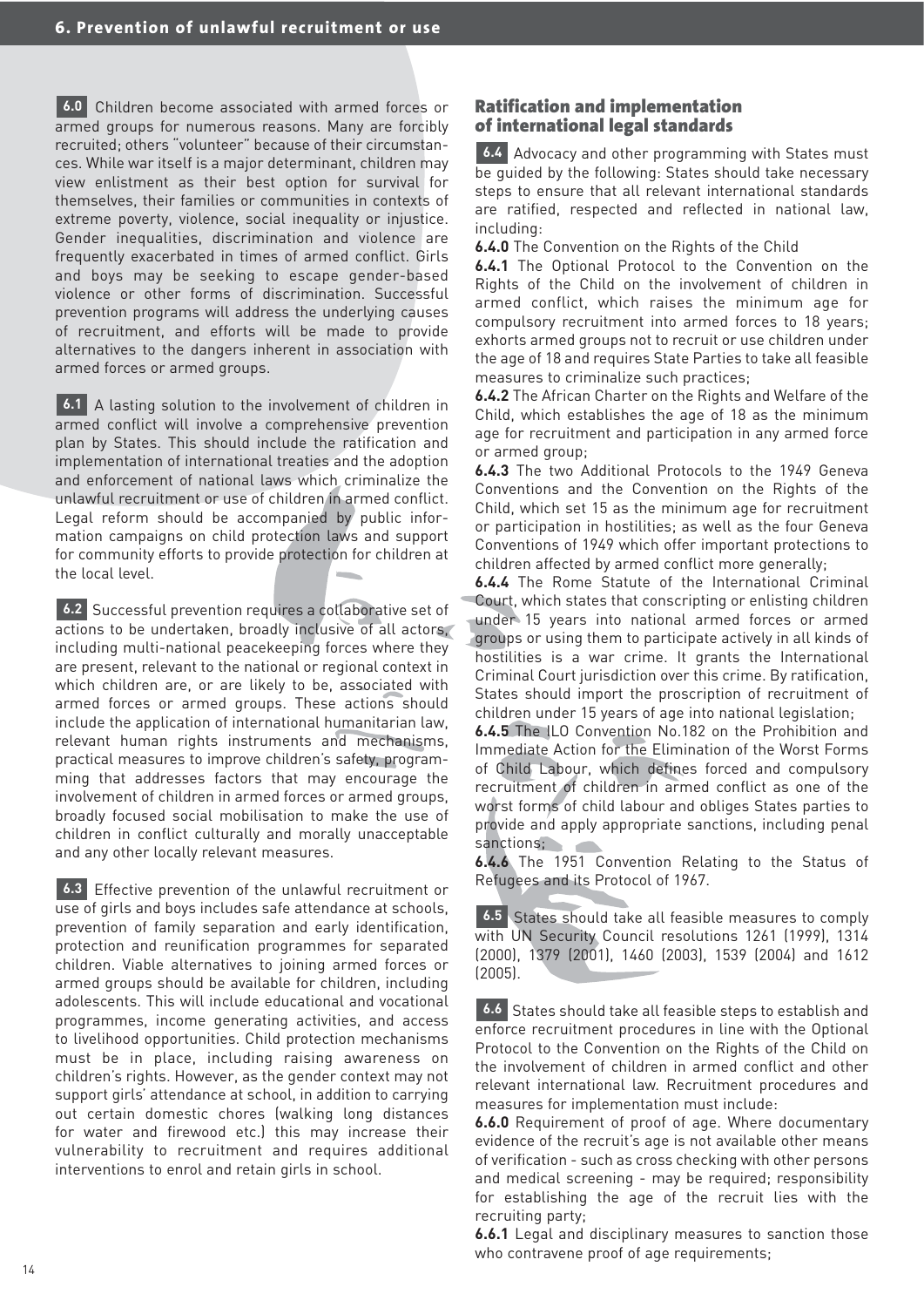Children become associated with armed forces or **6.0** armed groups for numerous reasons. Many are forcibly recruited; others "volunteer" because of their circumstances. While war itself is a major determinant, children may view enlistment as their best option for survival for themselves, their families or communities in contexts of extreme poverty, violence, social inequality or injustice. Gender inequalities, discrimination and violence are frequently exacerbated in times of armed conflict. Girls and boys may be seeking to escape gender-based violence or other forms of discrimination. Successful prevention programs will address the underlying causes of recruitment, and efforts will be made to provide alternatives to the dangers inherent in association with armed forces or armed groups.

A lasting solution to the involvement of children in **6.1** armed conflict will involve a comprehensive prevention plan by States. This should include the ratification and implementation of international treaties and the adoption and enforcement of national laws which criminalize the unlawful recruitment or use of children in armed conflict. Legal reform should be accompanied by public information campaigns on child protection laws and support for community efforts to provide protection for children at the local level.

Successful prevention requires a collaborative set of **6.2** actions to be undertaken, broadly inclusive of all actors, including multi-national peacekeeping forces where they are present, relevant to the national or regional context in which children are, or are likely to be, associated with armed forces or armed groups. These actions should include the application of international humanitarian law, relevant human rights instruments and mechanisms, practical measures to improve children's safety, programming that addresses factors that may encourage the involvement of children in armed forces or armed groups, broadly focused social mobilisation to make the use of children in conflict culturally and morally unacceptable and any other locally relevant measures.

Effective prevention of the unlawful recruitment or **6.3** use of girls and boys includes safe attendance at schools, prevention of family separation and early identification, protection and reunification programmes for separated children. Viable alternatives to joining armed forces or armed groups should be available for children, including adolescents. This will include educational and vocational programmes, income generating activities, and access to livelihood opportunities. Child protection mechanisms must be in place, including raising awareness on children's rights. However, as the gender context may not support girls' attendance at school, in addition to carrying out certain domestic chores (walking long distances for water and firewood etc.) this may increase their vulnerability to recruitment and requires additional interventions to enrol and retain girls in school.

### **Ratification and implementation of international legal standards**

**6.4** Advocacy and other programming with States must be guided by the following: States should take necessary steps to ensure that all relevant international standards are ratified, respected and reflected in national law, including:

**6.4.0** The Convention on the Rights of the Child

**6.4.1** The Optional Protocol to the Convention on the Rights of the Child on the involvement of children in armed conflict, which raises the minimum age for compulsory recruitment into armed forces to 18 years; exhorts armed groups not to recruit or use children under the age of 18 and requires State Parties to take all feasible measures to criminalize such practices;

**6.4.2** The African Charter on the Rights and Welfare of the Child, which establishes the age of 18 as the minimum age for recruitment and participation in any armed force or armed group;

**6.4.3** The two Additional Protocols to the 1949 Geneva Conventions and the Convention on the Rights of the Child, which set 15 as the minimum age for recruitment or participation in hostilities; as well as the four Geneva Conventions of 1949 which offer important protections to children affected by armed conflict more generally;

**6.4.4** The Rome Statute of the International Criminal Court, which states that conscripting or enlisting children under 15 years into national armed forces or armed groups or using them to participate actively in all kinds of hostilities is a war crime. It grants the International Criminal Court jurisdiction over this crime. By ratification, States should import the proscription of recruitment of children under 15 years of age into national legislation;

**6.4.5** The ILO Convention No.182 on the Prohibition and Immediate Action for the Elimination of the Worst Forms of Child Labour, which defines forced and compulsory recruitment of children in armed conflict as one of the worst forms of child labour and obliges States parties to provide and apply appropriate sanctions, including penal sanctions;

**6.4.6** The 1951 Convention Relating to the Status of Refugees and its Protocol of 1967.

States should take all feasible measures to comply **6.5** with UN Security Council resolutions 1261 (1999), 1314 (2000), 1379 (2001), 1460 (2003), 1539 (2004) and 1612 (2005).

States should take all feasible steps to establish and **6.6** enforce recruitment procedures in line with the Optional Protocol to the Convention on the Rights of the Child on the involvement of children in armed conflict and other relevant international law. Recruitment procedures and measures for implementation must include:

**6.6.0** Requirement of proof of age. Where documentary evidence of the recruit's age is not available other means of verification - such as cross checking with other persons and medical screening - may be required; responsibility for establishing the age of the recruit lies with the recruiting party;

**6.6.1** Legal and disciplinary measures to sanction those who contravene proof of age requirements;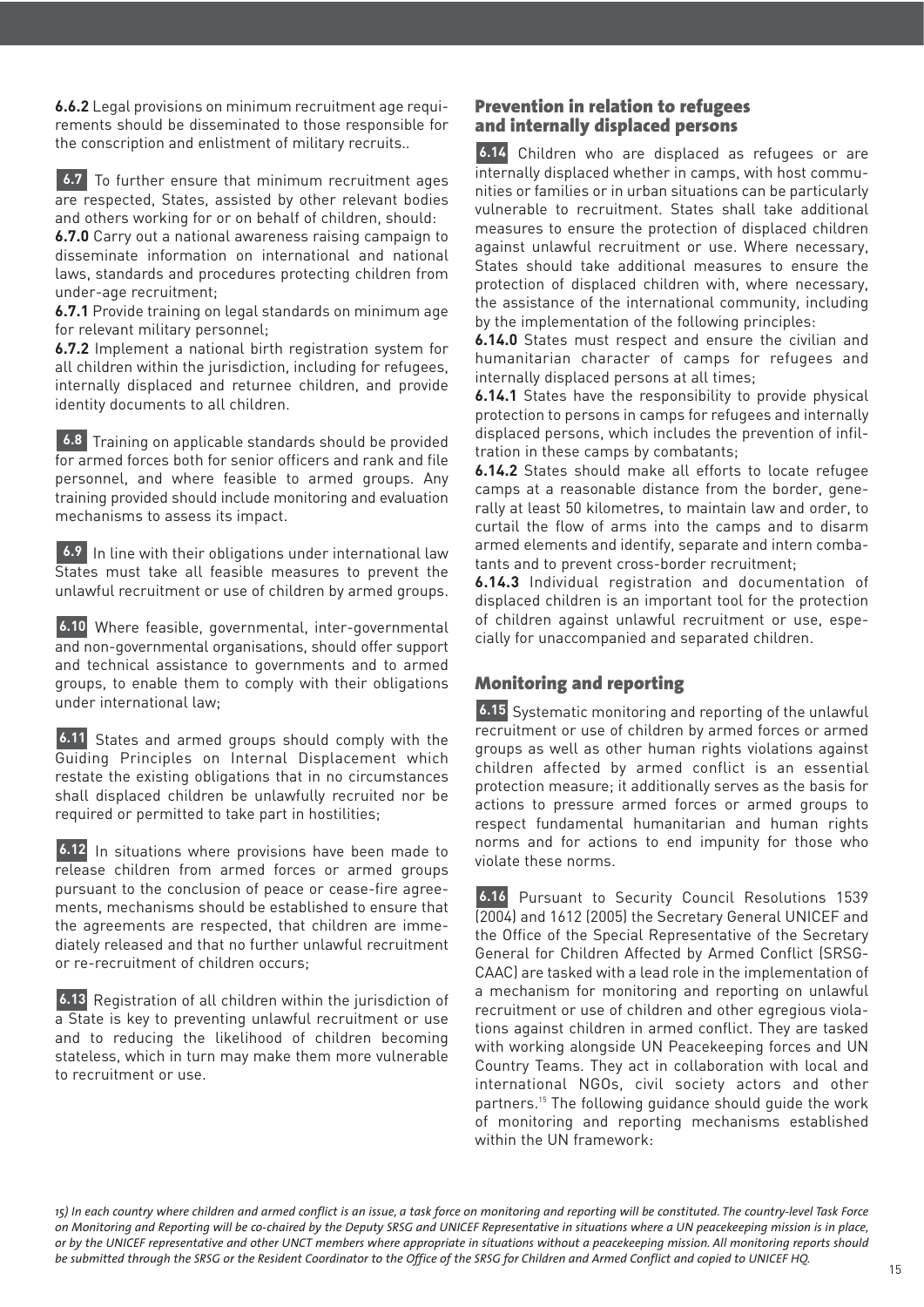**6.6.2** Legal provisions on minimum recruitment age requirements should be disseminated to those responsible for the conscription and enlistment of military recruits..

6.7 To further ensure that minimum recruitment ages are respected, States, assisted by other relevant bodies and others working for or on behalf of children, should:

**6.7.0** Carry out a national awareness raising campaign to disseminate information on international and national laws, standards and procedures protecting children from under-age recruitment;

**6.7.1** Provide training on legal standards on minimum age for relevant military personnel;

**6.7.2** Implement a national birth registration system for all children within the jurisdiction, including for refugees, internally displaced and returnee children, and provide identity documents to all children.

Training on applicable standards should be provided **6.8** for armed forces both for senior officers and rank and file personnel, and where feasible to armed groups. Any training provided should include monitoring and evaluation mechanisms to assess its impact.

**6.9** In line with their obligations under international law States must take all feasible measures to prevent the unlawful recruitment or use of children by armed groups.

Where feasible, governmental, inter-governmental **6.10** and non-governmental organisations, should offer support and technical assistance to governments and to armed groups, to enable them to comply with their obligations under international law;

6.11 States and armed groups should comply with the Guiding Principles on Internal Displacement which restate the existing obligations that in no circumstances shall displaced children be unlawfully recruited nor be required or permitted to take part in hostilities;

6.12 In situations where provisions have been made to release children from armed forces or armed groups pursuant to the conclusion of peace or cease-fire agreements, mechanisms should be established to ensure that the agreements are respected, that children are immediately released and that no further unlawful recruitment or re-recruitment of children occurs;

**6.13** Registration of all children within the jurisdiction of a State is key to preventing unlawful recruitment or use and to reducing the likelihood of children becoming stateless, which in turn may make them more vulnerable to recruitment or use.

### **Prevention in relation to refugees and internally displaced persons**

**6.14** Children who are displaced as refugees or are internally displaced whether in camps, with host communities or families or in urban situations can be particularly vulnerable to recruitment. States shall take additional measures to ensure the protection of displaced children against unlawful recruitment or use. Where necessary, States should take additional measures to ensure the protection of displaced children with, where necessary, the assistance of the international community, including by the implementation of the following principles:

**6.14.0** States must respect and ensure the civilian and humanitarian character of camps for refugees and internally displaced persons at all times;

**6.14.1** States have the responsibility to provide physical protection to persons in camps for refugees and internally displaced persons, which includes the prevention of infiltration in these camps by combatants;

**6.14.2** States should make all efforts to locate refugee camps at a reasonable distance from the border, generally at least 50 kilometres, to maintain law and order, to curtail the flow of arms into the camps and to disarm armed elements and identify, separate and intern combatants and to prevent cross-border recruitment;

**6.14.3** Individual registration and documentation of displaced children is an important tool for the protection of children against unlawful recruitment or use, especially for unaccompanied and separated children.

### **Monitoring and reporting**

**6.15** Systematic monitoring and reporting of the unlawful recruitment or use of children by armed forces or armed groups as well as other human rights violations against children affected by armed conflict is an essential protection measure; it additionally serves as the basis for actions to pressure armed forces or armed groups to respect fundamental humanitarian and human rights norms and for actions to end impunity for those who violate these norms.

Pursuant to Security Council Resolutions 1539 **6.16** (2004) and 1612 (2005) the Secretary General UNICEF and the Office of the Special Representative of the Secretary General for Children Affected by Armed Conflict (SRSG-CAAC) are tasked with a lead role in the implementation of a mechanism for monitoring and reporting on unlawful recruitment or use of children and other egregious violations against children in armed conflict. They are tasked with working alongside UN Peacekeeping forces and UN Country Teams. They act in collaboration with local and international NGOs, civil society actors and other partners.<sup>15</sup> The following guidance should guide the work of monitoring and reporting mechanisms established within the UN framework:

*15) In each country where children and armed conflict is an issue, a task force on monitoring and reporting will be constituted. The country-level Task Force on Monitoring and Reporting will be co-chaired by the Deputy SRSG and UNICEF Representative in situations where a UN peacekeeping mission is in place, or by the UNICEF representative and other UNCT members where appropriate in situations without a peacekeeping mission. All monitoring reports should be submitted through the SRSG or the Resident Coordinator to the Office of the SRSG for Children and Armed Conflict and copied to UNICEF HQ.*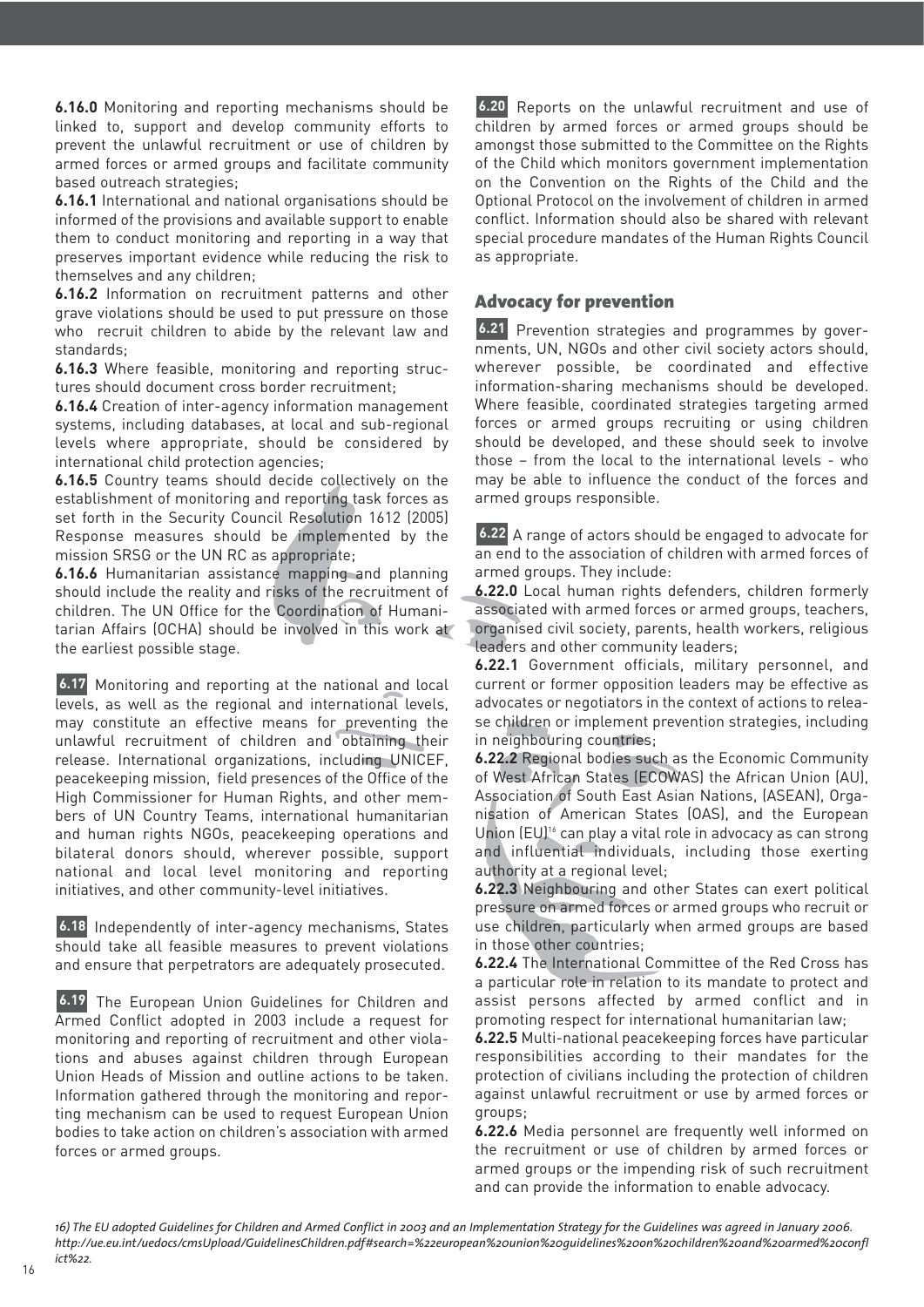**6.16.0** Monitoring and reporting mechanisms should be linked to, support and develop community efforts to prevent the unlawful recruitment or use of children by armed forces or armed groups and facilitate community based outreach strategies;

**6.16.1** International and national organisations should be informed of the provisions and available support to enable them to conduct monitoring and reporting in a way that preserves important evidence while reducing the risk to themselves and any children;

**6.16.2** Information on recruitment patterns and other grave violations should be used to put pressure on those who recruit children to abide by the relevant law and standards;

**6.16.3** Where feasible, monitoring and reporting structures should document cross border recruitment;

**6.16.4** Creation of inter-agency information management systems, including databases, at local and sub-regional levels where appropriate, should be considered by international child protection agencies;

**6.16.5** Country teams should decide collectively on the establishment of monitoring and reporting task forces as set forth in the Security Council Resolution 1612 (2005) Response measures should be implemented by the mission SRSG or the UN RC as appropriate;

**6.16.6** Humanitarian assistance mapping and planning should include the reality and risks of the recruitment of children. The UN Office for the Coordination of Humanitarian Affairs (OCHA) should be involved in this work at the earliest possible stage.

6.17 Monitoring and reporting at the national and local levels, as well as the regional and international levels, may constitute an effective means for preventing the unlawful recruitment of children and obtaining their release. International organizations, including UNICEF, peacekeeping mission, field presences of the Office of the High Commissioner for Human Rights, and other members of UN Country Teams, international humanitarian and human rights NGOs, peacekeeping operations and bilateral donors should, wherever possible, support national and local level monitoring and reporting initiatives, and other community-level initiatives.

**6.18** Independently of inter-agency mechanisms, States should take all feasible measures to prevent violations and ensure that perpetrators are adequately prosecuted.

The European Union Guidelines for Children and **6.19** Armed Conflict adopted in 2003 include a request for monitoring and reporting of recruitment and other violations and abuses against children through European Union Heads of Mission and outline actions to be taken. Information gathered through the monitoring and reporting mechanism can be used to request European Union bodies to take action on children's association with armed forces or armed groups.

Reports on the unlawful recruitment and use of **6.20** children by armed forces or armed groups should be amongst those submitted to the Committee on the Rights of the Child which monitors government implementation on the Convention on the Rights of the Child and the Optional Protocol on the involvement of children in armed conflict. Information should also be shared with relevant special procedure mandates of the Human Rights Council as appropriate.

### **Advocacy for prevention**

6.21 Prevention strategies and programmes by governments, UN, NGOs and other civil society actors should, wherever possible, be coordinated and effective information-sharing mechanisms should be developed. Where feasible, coordinated strategies targeting armed forces or armed groups recruiting or using children should be developed, and these should seek to involve those – from the local to the international levels - who may be able to influence the conduct of the forces and armed groups responsible.

A range of actors should be engaged to advocate for **6.22** an end to the association of children with armed forces of armed groups. They include:

**6.22.0** Local human rights defenders, children formerly associated with armed forces or armed groups, teachers, organised civil society, parents, health workers, religious leaders and other community leaders;

**6.22.1** Government officials, military personnel, and current or former opposition leaders may be effective as advocates or negotiators in the context of actions to release children or implement prevention strategies, including in neighbouring countries;

**6.22.2** Regional bodies such as the Economic Community of West African States (ECOWAS) the African Union (AU), Association of South East Asian Nations, (ASEAN), Organisation of American States (OAS), and the European Union (EU)<sup>16</sup> can play a vital role in advocacy as can strong and influential individuals, including those exerting authority at a regional level;

**6.22.3** Neighbouring and other States can exert political pressure on armed forces or armed groups who recruit or use children, particularly when armed groups are based in those other countries;

**6.22.4** The International Committee of the Red Cross has a particular role in relation to its mandate to protect and assist persons affected by armed conflict and in promoting respect for international humanitarian law;

**6.22.5** Multi-national peacekeeping forces have particular responsibilities according to their mandates for the protection of civilians including the protection of children against unlawful recruitment or use by armed forces or groups;

**6.22.6** Media personnel are frequently well informed on the recruitment or use of children by armed forces or armed groups or the impending risk of such recruitment and can provide the information to enable advocacy.

*16) The EU adopted Guidelines for Children and Armed Conflict in 2003 and an Implementation Strategy for the Guidelines was agreed in January 2006. http://ue.eu.int/uedocs/cmsUpload/GuidelinesChildren.pdf#search=%22european%20union%20guidelines%20on%20children%20and%20armed%20confl ict%22.*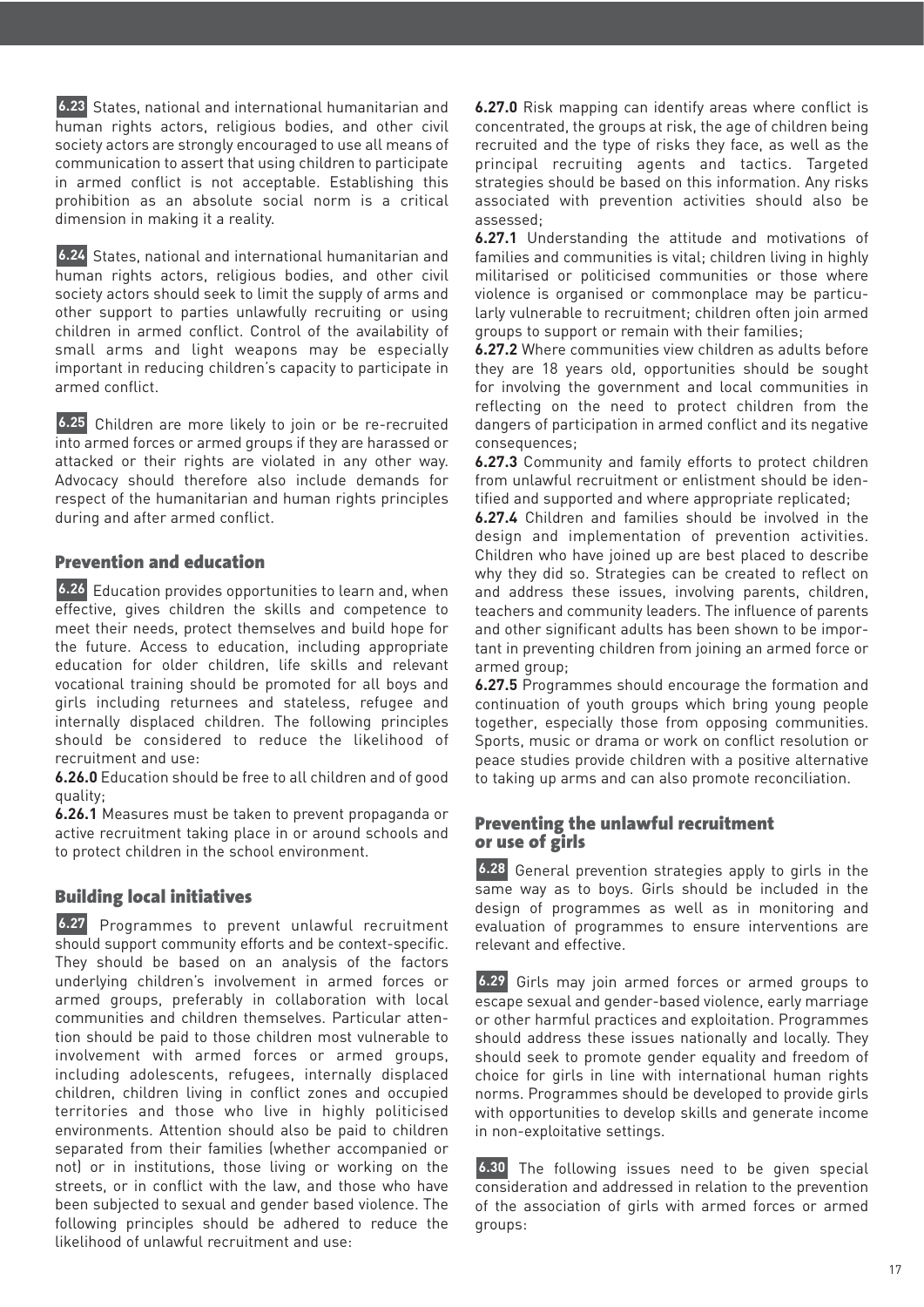States, national and international humanitarian and **6.23** human rights actors, religious bodies, and other civil society actors are strongly encouraged to use all means of communication to assert that using children to participate in armed conflict is not acceptable. Establishing this prohibition as an absolute social norm is a critical dimension in making it a reality.

States, national and international humanitarian and **6.24** human rights actors, religious bodies, and other civil society actors should seek to limit the supply of arms and other support to parties unlawfully recruiting or using children in armed conflict. Control of the availability of small arms and light weapons may be especially important in reducing children's capacity to participate in armed conflict.

Children are more likely to join or be re-recruited **6.25** into armed forces or armed groups if they are harassed or attacked or their rights are violated in any other way. Advocacy should therefore also include demands for respect of the humanitarian and human rights principles during and after armed conflict.

### **Prevention and education**

Education provides opportunities to learn and, when **6.26** effective, gives children the skills and competence to meet their needs, protect themselves and build hope for the future. Access to education, including appropriate education for older children, life skills and relevant vocational training should be promoted for all boys and girls including returnees and stateless, refugee and internally displaced children. The following principles should be considered to reduce the likelihood of recruitment and use:

**6.26.0** Education should be free to all children and of good quality;

**6.26.1** Measures must be taken to prevent propaganda or active recruitment taking place in or around schools and to protect children in the school environment.

### **Building local initiatives**

Programmes to prevent unlawful recruitment **6.27** should support community efforts and be context-specific. They should be based on an analysis of the factors underlying children's involvement in armed forces or armed groups, preferably in collaboration with local communities and children themselves. Particular attention should be paid to those children most vulnerable to involvement with armed forces or armed groups, including adolescents, refugees, internally displaced children, children living in conflict zones and occupied territories and those who live in highly politicised environments. Attention should also be paid to children separated from their families (whether accompanied or not) or in institutions, those living or working on the streets, or in conflict with the law, and those who have been subjected to sexual and gender based violence. The following principles should be adhered to reduce the likelihood of unlawful recruitment and use:

**6.27.0** Risk mapping can identify areas where conflict is concentrated, the groups at risk, the age of children being recruited and the type of risks they face, as well as the principal recruiting agents and tactics. Targeted strategies should be based on this information. Any risks associated with prevention activities should also be assessed;

**6.27.1** Understanding the attitude and motivations of families and communities is vital; children living in highly militarised or politicised communities or those where violence is organised or commonplace may be particularly vulnerable to recruitment; children often join armed groups to support or remain with their families;

**6.27.2** Where communities view children as adults before they are 18 years old, opportunities should be sought for involving the government and local communities in reflecting on the need to protect children from the dangers of participation in armed conflict and its negative consequences;

**6.27.3** Community and family efforts to protect children from unlawful recruitment or enlistment should be identified and supported and where appropriate replicated;

**6.27.4** Children and families should be involved in the design and implementation of prevention activities. Children who have joined up are best placed to describe why they did so. Strategies can be created to reflect on and address these issues, involving parents, children, teachers and community leaders. The influence of parents and other significant adults has been shown to be important in preventing children from joining an armed force or armed group;

**6.27.5** Programmes should encourage the formation and continuation of youth groups which bring young people together, especially those from opposing communities. Sports, music or drama or work on conflict resolution or peace studies provide children with a positive alternative to taking up arms and can also promote reconciliation.

### **Preventing the unlawful recruitment or use of girls**

General prevention strategies apply to girls in the **6.28** same way as to boys. Girls should be included in the design of programmes as well as in monitoring and evaluation of programmes to ensure interventions are relevant and effective.

Girls may join armed forces or armed groups to **6.29** escape sexual and gender-based violence, early marriage or other harmful practices and exploitation. Programmes should address these issues nationally and locally. They should seek to promote gender equality and freedom of choice for girls in line with international human rights norms. Programmes should be developed to provide girls with opportunities to develop skills and generate income in non-exploitative settings.

The following issues need to be given special **6.30** consideration and addressed in relation to the prevention of the association of girls with armed forces or armed groups: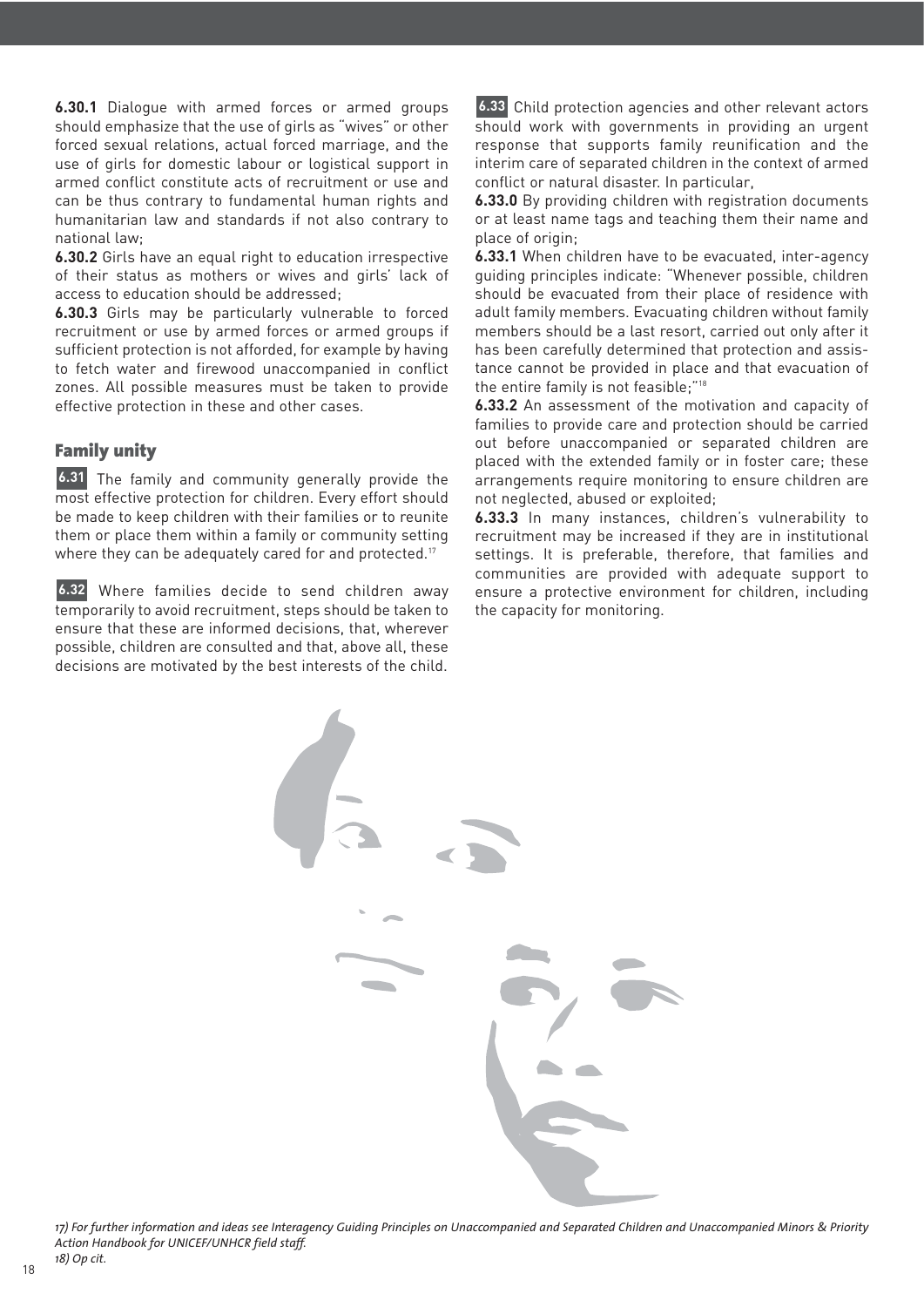**6.30.1** Dialogue with armed forces or armed groups should emphasize that the use of girls as "wives" or other forced sexual relations, actual forced marriage, and the use of girls for domestic labour or logistical support in armed conflict constitute acts of recruitment or use and can be thus contrary to fundamental human rights and humanitarian law and standards if not also contrary to national law;

**6.30.2** Girls have an equal right to education irrespective of their status as mothers or wives and girls' lack of access to education should be addressed;

**6.30.3** Girls may be particularly vulnerable to forced recruitment or use by armed forces or armed groups if sufficient protection is not afforded, for example by having to fetch water and firewood unaccompanied in conflict zones. All possible measures must be taken to provide effective protection in these and other cases.

### **Family unity**

The family and community generally provide the **6.31** most effective protection for children. Every effort should be made to keep children with their families or to reunite them or place them within a family or community setting where they can be adequately cared for and protected.<sup>17</sup>

Where families decide to send children away **6.32** temporarily to avoid recruitment, steps should be taken to ensure that these are informed decisions, that, wherever possible, children are consulted and that, above all, these decisions are motivated by the best interests of the child.

Child protection agencies and other relevant actors **6.33** should work with governments in providing an urgent response that supports family reunification and the interim care of separated children in the context of armed conflict or natural disaster. In particular,

**6.33.0** By providing children with registration documents or at least name tags and teaching them their name and place of origin;

**6.33.1** When children have to be evacuated, inter-agency guiding principles indicate: "Whenever possible, children should be evacuated from their place of residence with adult family members. Evacuating children without family members should be a last resort, carried out only after it has been carefully determined that protection and assistance cannot be provided in place and that evacuation of the entire family is not feasible;"18

**6.33.2** An assessment of the motivation and capacity of families to provide care and protection should be carried out before unaccompanied or separated children are placed with the extended family or in foster care; these arrangements require monitoring to ensure children are not neglected, abused or exploited;

**6.33.3** In many instances, children's vulnerability to recruitment may be increased if they are in institutional settings. It is preferable, therefore, that families and communities are provided with adequate support to ensure a protective environment for children, including the capacity for monitoring.



*17) For further information and ideas see Interagency Guiding Principles on Unaccompanied and Separated Children and Unaccompanied Minors & Priority Action Handbook for UNICEF/UNHCR field staff. 18) Op cit.*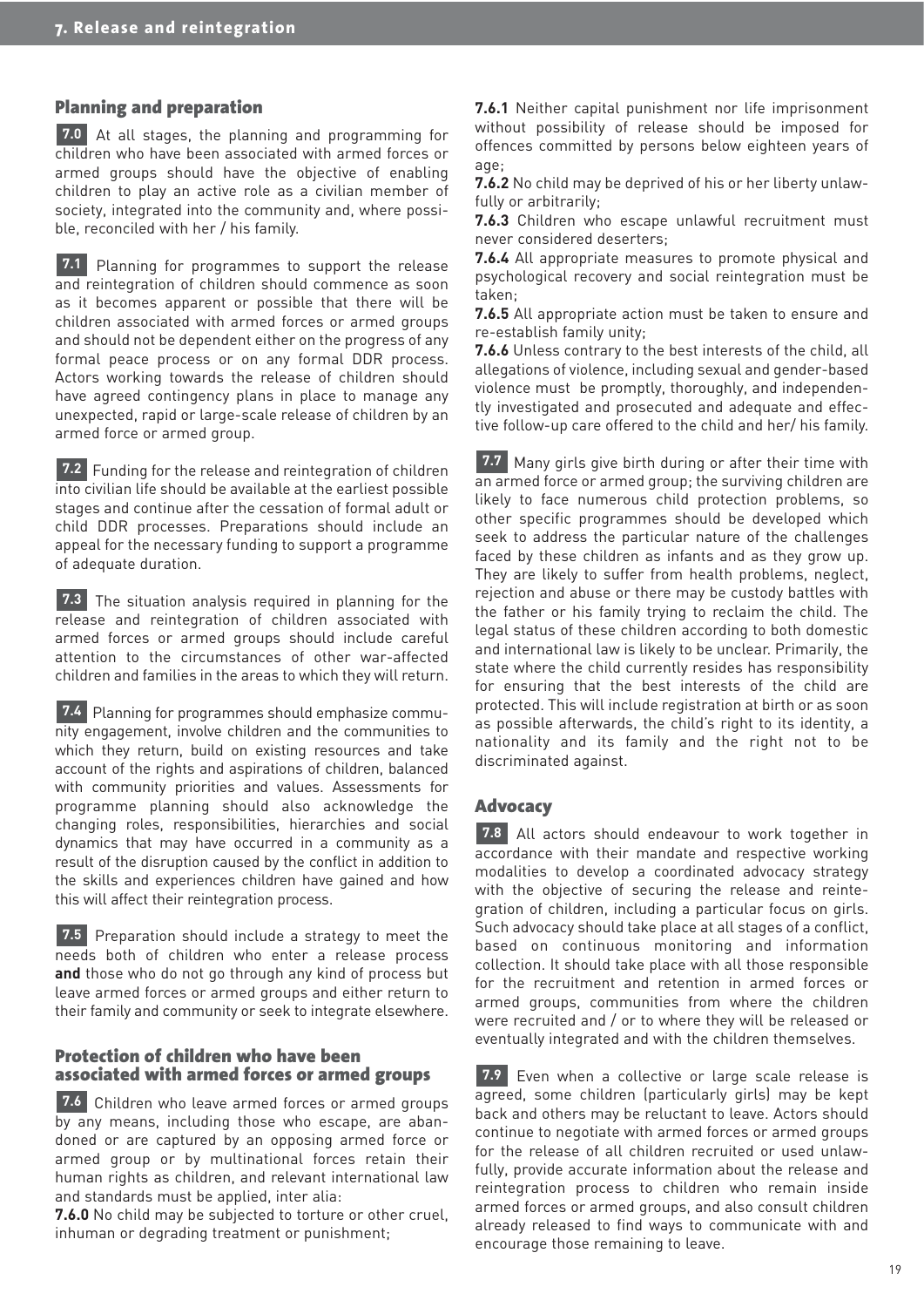### **Planning and preparation**

At all stages, the planning and programming for **7.0** children who have been associated with armed forces or armed groups should have the objective of enabling children to play an active role as a civilian member of society, integrated into the community and, where possible, reconciled with her / his family.

Planning for programmes to support the release **7.1** and reintegration of children should commence as soon as it becomes apparent or possible that there will be children associated with armed forces or armed groups and should not be dependent either on the progress of any formal peace process or on any formal DDR process. Actors working towards the release of children should have agreed contingency plans in place to manage any unexpected, rapid or large-scale release of children by an armed force or armed group.

Funding for the release and reintegration of children **7.2** into civilian life should be available at the earliest possible stages and continue after the cessation of formal adult or child DDR processes. Preparations should include an appeal for the necessary funding to support a programme of adequate duration.

The situation analysis required in planning for the **7.3** release and reintegration of children associated with armed forces or armed groups should include careful attention to the circumstances of other war-affected children and families in the areas to which they will return.

Planning for programmes should emphasize commu-**7.4** nity engagement, involve children and the communities to which they return, build on existing resources and take account of the rights and aspirations of children, balanced with community priorities and values. Assessments for programme planning should also acknowledge the changing roles, responsibilities, hierarchies and social dynamics that may have occurred in a community as a result of the disruption caused by the conflict in addition to the skills and experiences children have gained and how this will affect their reintegration process.

7.5 Preparation should include a strategy to meet the needs both of children who enter a release process **and** those who do not go through any kind of process but leave armed forces or armed groups and either return to their family and community or seek to integrate elsewhere.

### **Protection of children who have been associated with armed forces or armed groups**

Children who leave armed forces or armed groups **7.6** by any means, including those who escape, are abandoned or are captured by an opposing armed force or armed group or by multinational forces retain their human rights as children, and relevant international law and standards must be applied, inter alia:

**7.6.0** No child may be subjected to torture or other cruel, inhuman or degrading treatment or punishment;

**7.6.1** Neither capital punishment nor life imprisonment without possibility of release should be imposed for offences committed by persons below eighteen years of age;

**7.6.2** No child may be deprived of his or her liberty unlawfully or arbitrarily;

**7.6.3** Children who escape unlawful recruitment must never considered deserters;

**7.6.4** All appropriate measures to promote physical and psychological recovery and social reintegration must be taken;

**7.6.5** All appropriate action must be taken to ensure and re-establish family unity;

**7.6.6** Unless contrary to the best interests of the child, all allegations of violence, including sexual and gender-based violence must be promptly, thoroughly, and independently investigated and prosecuted and adequate and effective follow-up care offered to the child and her/ his family.

**7.7** Many girls give birth during or after their time with an armed force or armed group; the surviving children are likely to face numerous child protection problems, so other specific programmes should be developed which seek to address the particular nature of the challenges faced by these children as infants and as they grow up. They are likely to suffer from health problems, neglect, rejection and abuse or there may be custody battles with the father or his family trying to reclaim the child. The legal status of these children according to both domestic and international law is likely to be unclear. Primarily, the state where the child currently resides has responsibility for ensuring that the best interests of the child are protected. This will include registration at birth or as soon as possible afterwards, the child's right to its identity, a nationality and its family and the right not to be discriminated against.

### **Advocacy**

All actors should endeavour to work together in **7.8** accordance with their mandate and respective working modalities to develop a coordinated advocacy strategy with the objective of securing the release and reintegration of children, including a particular focus on girls. Such advocacy should take place at all stages of a conflict, based on continuous monitoring and information collection. It should take place with all those responsible for the recruitment and retention in armed forces or armed groups, communities from where the children were recruited and / or to where they will be released or eventually integrated and with the children themselves.

Even when a collective or large scale release is **7.9** agreed, some children (particularly girls) may be kept back and others may be reluctant to leave. Actors should continue to negotiate with armed forces or armed groups for the release of all children recruited or used unlawfully, provide accurate information about the release and reintegration process to children who remain inside armed forces or armed groups, and also consult children already released to find ways to communicate with and encourage those remaining to leave.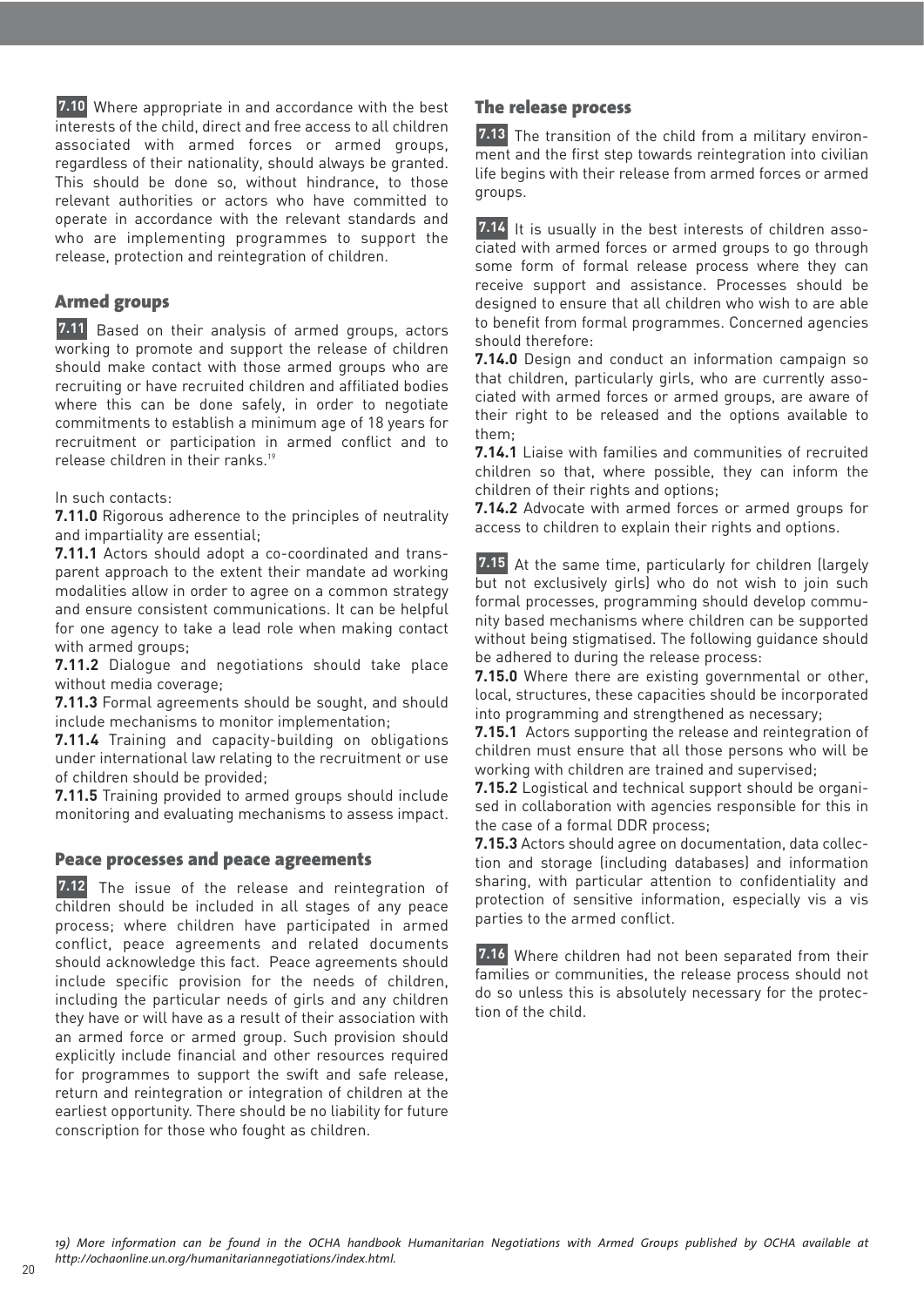Where appropriate in and accordance with the best **7.10** interests of the child, direct and free access to all children associated with armed forces or armed groups, regardless of their nationality, should always be granted. This should be done so, without hindrance, to those relevant authorities or actors who have committed to operate in accordance with the relevant standards and who are implementing programmes to support the release, protection and reintegration of children.

### **Armed groups**

7.11 Based on their analysis of armed groups, actors working to promote and support the release of children should make contact with those armed groups who are recruiting or have recruited children and affiliated bodies where this can be done safely, in order to negotiate commitments to establish a minimum age of 18 years for recruitment or participation in armed conflict and to release children in their ranks.19

### In such contacts:

**7.11.0** Rigorous adherence to the principles of neutrality and impartiality are essential;

**7.11.1** Actors should adopt a co-coordinated and transparent approach to the extent their mandate ad working modalities allow in order to agree on a common strategy and ensure consistent communications. It can be helpful for one agency to take a lead role when making contact with armed groups;

**7.11.2** Dialogue and negotiations should take place without media coverage;

**7.11.3** Formal agreements should be sought, and should include mechanisms to monitor implementation;

**7.11.4** Training and capacity-building on obligations under international law relating to the recruitment or use of children should be provided;

**7.11.5** Training provided to armed groups should include monitoring and evaluating mechanisms to assess impact.

### **Peace processes and peace agreements**

7.12 The issue of the release and reintegration of children should be included in all stages of any peace process; where children have participated in armed conflict, peace agreements and related documents should acknowledge this fact. Peace agreements should include specific provision for the needs of children, including the particular needs of girls and any children they have or will have as a result of their association with an armed force or armed group. Such provision should explicitly include financial and other resources required for programmes to support the swift and safe release, return and reintegration or integration of children at the earliest opportunity. There should be no liability for future conscription for those who fought as children.

### **The release process**

7.13 The transition of the child from a military environment and the first step towards reintegration into civilian life begins with their release from armed forces or armed groups.

7.14 It is usually in the best interests of children associated with armed forces or armed groups to go through some form of formal release process where they can receive support and assistance. Processes should be designed to ensure that all children who wish to are able to benefit from formal programmes. Concerned agencies should therefore:

**7.14.0** Design and conduct an information campaign so that children, particularly girls, who are currently associated with armed forces or armed groups, are aware of their right to be released and the options available to them;

**7.14.1** Liaise with families and communities of recruited children so that, where possible, they can inform the children of their rights and options;

**7.14.2** Advocate with armed forces or armed groups for access to children to explain their rights and options.

7.15 At the same time, particularly for children (largely but not exclusively girls) who do not wish to join such formal processes, programming should develop community based mechanisms where children can be supported without being stigmatised. The following guidance should be adhered to during the release process:

**7.15.0** Where there are existing governmental or other, local, structures, these capacities should be incorporated into programming and strengthened as necessary;

**7.15.1** Actors supporting the release and reintegration of children must ensure that all those persons who will be working with children are trained and supervised;

**7.15.2** Logistical and technical support should be organised in collaboration with agencies responsible for this in the case of a formal DDR process;

**7.15.3** Actors should agree on documentation, data collection and storage (including databases) and information sharing, with particular attention to confidentiality and protection of sensitive information, especially vis a vis parties to the armed conflict.

Where children had not been separated from their **7.16** families or communities, the release process should not do so unless this is absolutely necessary for the protection of the child.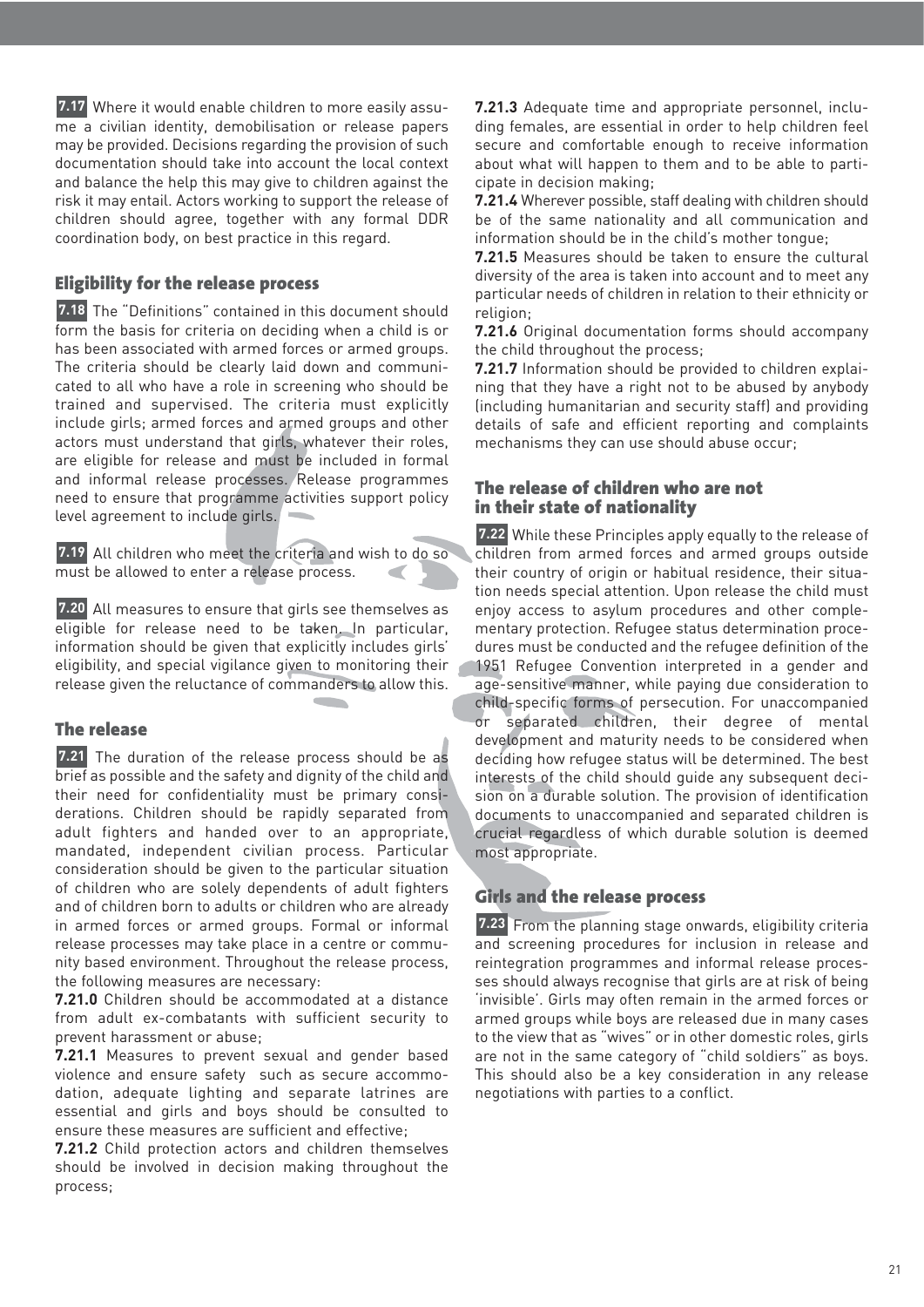Where it would enable children to more easily assu-**7.17** me a civilian identity, demobilisation or release papers may be provided. Decisions regarding the provision of such documentation should take into account the local context and balance the help this may give to children against the risk it may entail. Actors working to support the release of children should agree, together with any formal DDR coordination body, on best practice in this regard.

### **Eligibility for the release process**

The "Definitions" contained in this document should **7.18** form the basis for criteria on deciding when a child is or has been associated with armed forces or armed groups. The criteria should be clearly laid down and communicated to all who have a role in screening who should be trained and supervised. The criteria must explicitly include girls; armed forces and armed groups and other actors must understand that girls, whatever their roles, are eligible for release and must be included in formal and informal release processes. Release programmes need to ensure that programme activities support policy level agreement to include girls.

All children who meet the criteria and wish to do so **7.19** must be allowed to enter a release process.

All measures to ensure that girls see themselves as **7.20** eligible for release need to be taken. In particular, information should be given that explicitly includes girls' eligibility, and special vigilance given to monitoring their release given the reluctance of commanders to allow this.

### **The release**

7.21 The duration of the release process should be as brief as possible and the safety and dignity of the child and their need for confidentiality must be primary considerations. Children should be rapidly separated from adult fighters and handed over to an appropriate, mandated, independent civilian process. Particular consideration should be given to the particular situation of children who are solely dependents of adult fighters and of children born to adults or children who are already in armed forces or armed groups. Formal or informal release processes may take place in a centre or community based environment. Throughout the release process, the following measures are necessary:

**7.21.0** Children should be accommodated at a distance from adult ex-combatants with sufficient security to prevent harassment or abuse;

**7.21.1** Measures to prevent sexual and gender based violence and ensure safety such as secure accommodation, adequate lighting and separate latrines are essential and girls and boys should be consulted to ensure these measures are sufficient and effective;

**7.21.2** Child protection actors and children themselves should be involved in decision making throughout the process;

**7.21.3** Adequate time and appropriate personnel, including females, are essential in order to help children feel secure and comfortable enough to receive information about what will happen to them and to be able to participate in decision making;

**7.21.4** Wherever possible, staff dealing with children should be of the same nationality and all communication and information should be in the child's mother tongue;

**7.21.5** Measures should be taken to ensure the cultural diversity of the area is taken into account and to meet any particular needs of children in relation to their ethnicity or religion;

**7.21.6** Original documentation forms should accompany the child throughout the process;

**7.21.7** Information should be provided to children explaining that they have a right not to be abused by anybody (including humanitarian and security staff) and providing details of safe and efficient reporting and complaints mechanisms they can use should abuse occur;

### **The release of children who are not in their state of nationality**

While these Principles apply equally to the release of **7.22** children from armed forces and armed groups outside their country of origin or habitual residence, their situation needs special attention. Upon release the child must enjoy access to asylum procedures and other complementary protection. Refugee status determination procedures must be conducted and the refugee definition of the 1951 Refugee Convention interpreted in a gender and age-sensitive manner, while paying due consideration to child-specific forms of persecution. For unaccompanied or separated children, their degree of mental development and maturity needs to be considered when deciding how refugee status will be determined. The best interests of the child should guide any subsequent decision on a durable solution. The provision of identification documents to unaccompanied and separated children is crucial regardless of which durable solution is deemed most appropriate.

### **Girls and the release process**

From the planning stage onwards, eligibility criteria **7.23** and screening procedures for inclusion in release and reintegration programmes and informal release processes should always recognise that girls are at risk of being 'invisible'. Girls may often remain in the armed forces or armed groups while boys are released due in many cases to the view that as "wives" or in other domestic roles, girls are not in the same category of "child soldiers" as boys. This should also be a key consideration in any release negotiations with parties to a conflict.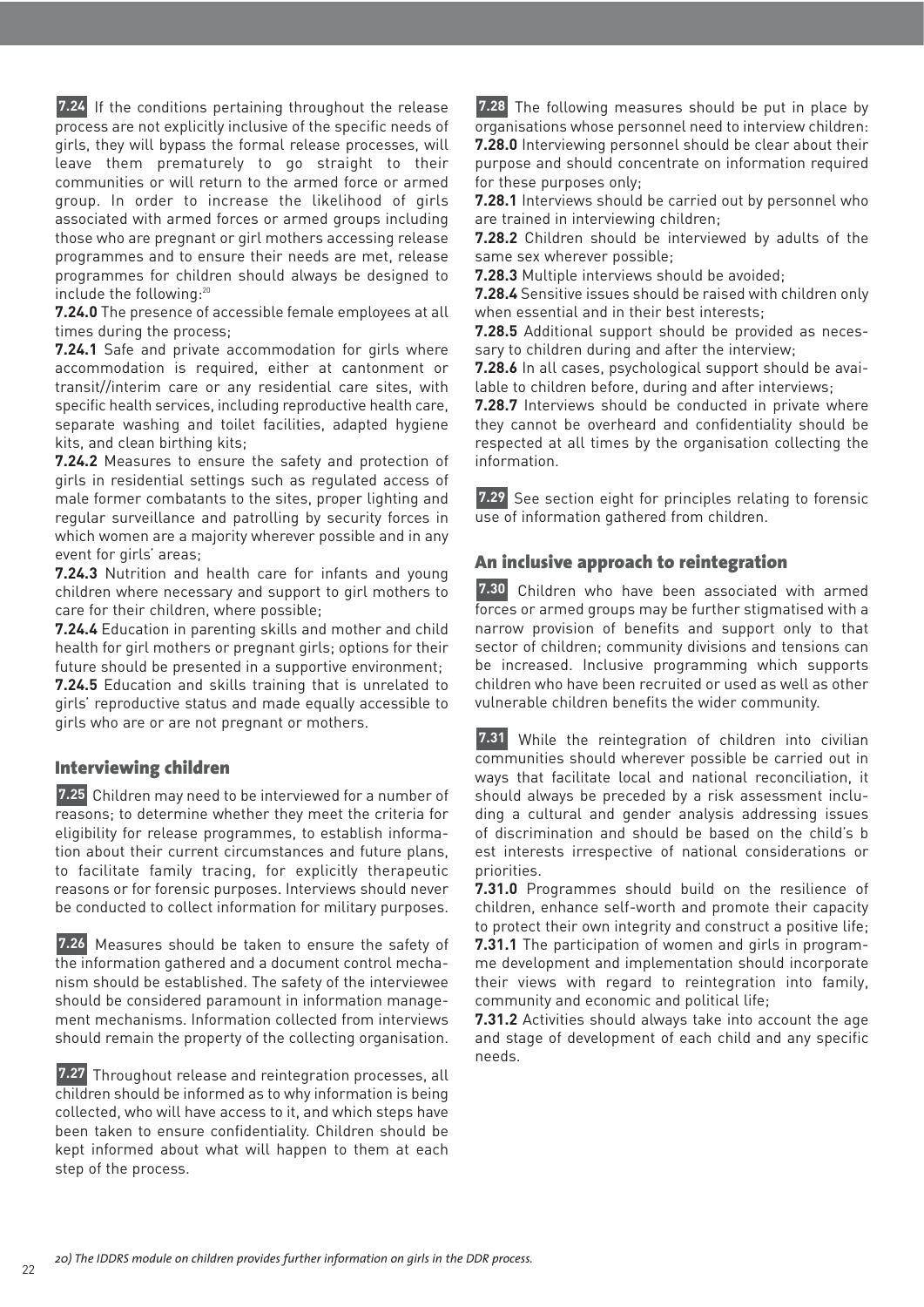**7.24** If the conditions pertaining throughout the release process are not explicitly inclusive of the specific needs of girls, they will bypass the formal release processes, will leave them prematurely to go straight to their communities or will return to the armed force or armed group. In order to increase the likelihood of girls associated with armed forces or armed groups including those who are pregnant or girl mothers accessing release programmes and to ensure their needs are met, release programmes for children should always be designed to include the following:<sup>20</sup>

**7.24.0** The presence of accessible female employees at all times during the process;

**7.24.1** Safe and private accommodation for girls where accommodation is required, either at cantonment or transit//interim care or any residential care sites, with specific health services, including reproductive health care, separate washing and toilet facilities, adapted hygiene kits, and clean birthing kits;

**7.24.2** Measures to ensure the safety and protection of girls in residential settings such as regulated access of male former combatants to the sites, proper lighting and regular surveillance and patrolling by security forces in which women are a majority wherever possible and in any event for girls' areas;

**7.24.3** Nutrition and health care for infants and young children where necessary and support to girl mothers to care for their children, where possible;

**7.24.4** Education in parenting skills and mother and child health for girl mothers or pregnant girls; options for their future should be presented in a supportive environment;

**7.24.5** Education and skills training that is unrelated to girls' reproductive status and made equally accessible to girls who are or are not pregnant or mothers.

### **Interviewing children**

Children may need to be interviewed for a number of **7.25** reasons; to determine whether they meet the criteria for eligibility for release programmes, to establish information about their current circumstances and future plans, to facilitate family tracing, for explicitly therapeutic reasons or for forensic purposes. Interviews should never be conducted to collect information for military purposes.

Measures should be taken to ensure the safety of **7.26** the information gathered and a document control mechanism should be established. The safety of the interviewee should be considered paramount in information management mechanisms. Information collected from interviews should remain the property of the collecting organisation.

Throughout release and reintegration processes, all **7.27** children should be informed as to why information is being collected, who will have access to it, and which steps have been taken to ensure confidentiality. Children should be kept informed about what will happen to them at each step of the process.

7.28 The following measures should be put in place by organisations whose personnel need to interview children: **7.28.0** Interviewing personnel should be clear about their purpose and should concentrate on information required for these purposes only;

**7.28.1** Interviews should be carried out by personnel who are trained in interviewing children;

**7.28.2** Children should be interviewed by adults of the same sex wherever possible;

**7.28.3** Multiple interviews should be avoided;

**7.28.4** Sensitive issues should be raised with children only when essential and in their best interests;

**7.28.5** Additional support should be provided as necessary to children during and after the interview;

**7.28.6** In all cases, psychological support should be available to children before, during and after interviews;

**7.28.7** Interviews should be conducted in private where they cannot be overheard and confidentiality should be respected at all times by the organisation collecting the information.

See section eight for principles relating to forensic **7.29** use of information gathered from children.

### **An inclusive approach to reintegration**

7.30 Children who have been associated with armed forces or armed groups may be further stigmatised with a narrow provision of benefits and support only to that sector of children; community divisions and tensions can be increased. Inclusive programming which supports children who have been recruited or used as well as other vulnerable children benefits the wider community.

While the reintegration of children into civilian **7.31** communities should wherever possible be carried out in ways that facilitate local and national reconciliation, it should always be preceded by a risk assessment including a cultural and gender analysis addressing issues of discrimination and should be based on the child's b est interests irrespective of national considerations or priorities.

**7.31.0** Programmes should build on the resilience of children, enhance self-worth and promote their capacity to protect their own integrity and construct a positive life; **7.31.1** The participation of women and girls in programme development and implementation should incorporate their views with regard to reintegration into family, community and economic and political life;

**7.31.2** Activities should always take into account the age and stage of development of each child and any specific needs.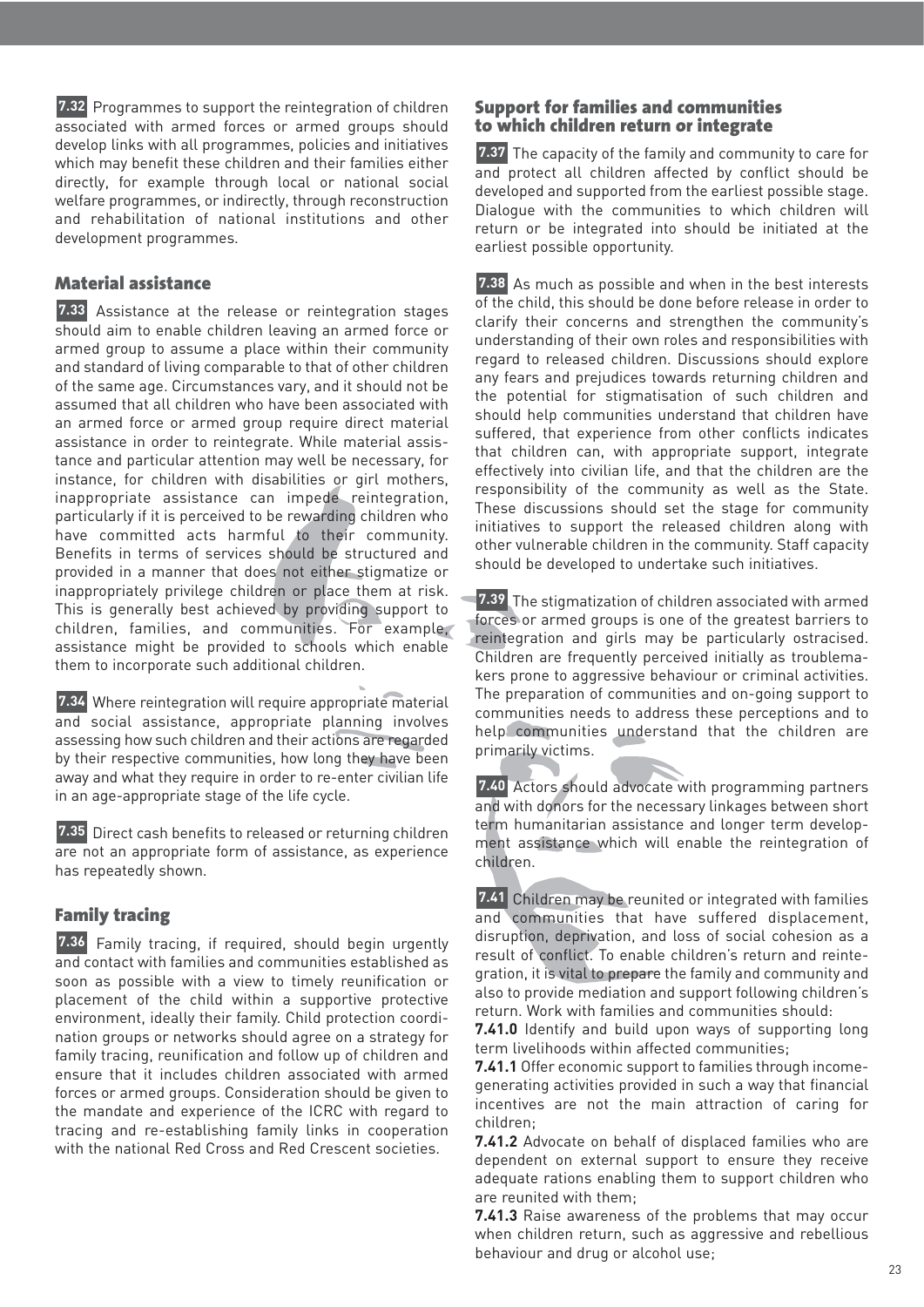Programmes to support the reintegration of children **7.32** associated with armed forces or armed groups should develop links with all programmes, policies and initiatives which may benefit these children and their families either directly, for example through local or national social welfare programmes, or indirectly, through reconstruction and rehabilitation of national institutions and other development programmes.

### **Material assistance**

**7.33** Assistance at the release or reintegration stages should aim to enable children leaving an armed force or armed group to assume a place within their community and standard of living comparable to that of other children of the same age. Circumstances vary, and it should not be assumed that all children who have been associated with an armed force or armed group require direct material assistance in order to reintegrate. While material assistance and particular attention may well be necessary, for instance, for children with disabilities or girl mothers, inappropriate assistance can impede reintegration, particularly if it is perceived to be rewarding children who have committed acts harmful to their community. Benefits in terms of services should be structured and provided in a manner that does not either stigmatize or inappropriately privilege children or place them at risk. This is generally best achieved by providing support to children, families, and communities. For example, assistance might be provided to schools which enable them to incorporate such additional children.

Where reintegration will require appropriate material **7.34** and social assistance, appropriate planning involves assessing how such children and their actions are regarded by their respective communities, how long they have been away and what they require in order to re-enter civilian life in an age-appropriate stage of the life cycle.

Direct cash benefits to released or returning children **7.35** are not an appropriate form of assistance, as experience has repeatedly shown.

### **Family tracing**

Family tracing, if required, should begin urgently **7.36** and contact with families and communities established as soon as possible with a view to timely reunification or placement of the child within a supportive protective environment, ideally their family. Child protection coordination groups or networks should agree on a strategy for family tracing, reunification and follow up of children and ensure that it includes children associated with armed forces or armed groups. Consideration should be given to the mandate and experience of the ICRC with regard to tracing and re-establishing family links in cooperation with the national Red Cross and Red Crescent societies.

### **Support for families and communities to which children return or integrate**

7.37 The capacity of the family and community to care for and protect all children affected by conflict should be developed and supported from the earliest possible stage. Dialogue with the communities to which children will return or be integrated into should be initiated at the earliest possible opportunity.

As much as possible and when in the best interests **7.38** of the child, this should be done before release in order to clarify their concerns and strengthen the community's understanding of their own roles and responsibilities with regard to released children. Discussions should explore any fears and prejudices towards returning children and the potential for stigmatisation of such children and should help communities understand that children have suffered, that experience from other conflicts indicates that children can, with appropriate support, integrate effectively into civilian life, and that the children are the responsibility of the community as well as the State. These discussions should set the stage for community initiatives to support the released children along with other vulnerable children in the community. Staff capacity should be developed to undertake such initiatives.

The stigmatization of children associated with armed **7.39** forces or armed groups is one of the greatest barriers to reintegration and girls may be particularly ostracised. Children are frequently perceived initially as troublemakers prone to aggressive behaviour or criminal activities. The preparation of communities and on-going support to communities needs to address these perceptions and to help communities understand that the children are primarily victims.

Actors should advocate with programming partners **7.40** and with donors for the necessary linkages between short term humanitarian assistance and longer term development assistance which will enable the reintegration of children.

Children may be reunited or integrated with families **7.41** and communities that have suffered displacement, disruption, deprivation, and loss of social cohesion as a result of conflict. To enable children's return and reintegration, it is vital to prepare the family and community and also to provide mediation and support following children's return. Work with families and communities should:

**7.41.0** Identify and build upon ways of supporting long term livelihoods within affected communities;

**7.41.1** Offer economic support to families through incomegenerating activities provided in such a way that financial incentives are not the main attraction of caring for children;

**7.41.2** Advocate on behalf of displaced families who are dependent on external support to ensure they receive adequate rations enabling them to support children who are reunited with them;

**7.41.3** Raise awareness of the problems that may occur when children return, such as aggressive and rebellious behaviour and drug or alcohol use;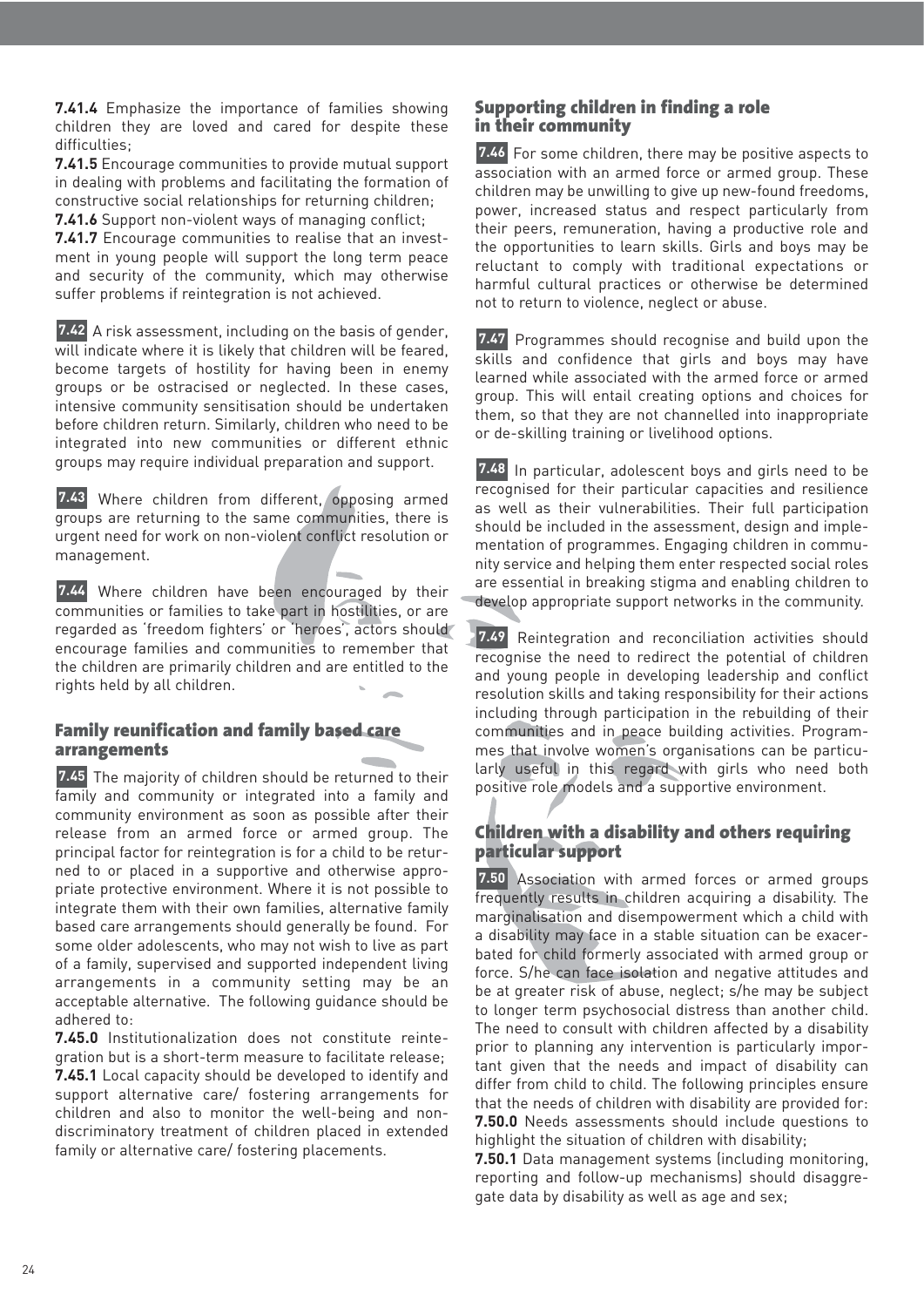**7.41.4** Emphasize the importance of families showing children they are loved and cared for despite these difficulties;

**7.41.5** Encourage communities to provide mutual support in dealing with problems and facilitating the formation of constructive social relationships for returning children; **7.41.6** Support non-violent ways of managing conflict;

**7.41.7** Encourage communities to realise that an investment in young people will support the long term peace and security of the community, which may otherwise suffer problems if reintegration is not achieved.

A risk assessment, including on the basis of gender, **7.42** will indicate where it is likely that children will be feared. become targets of hostility for having been in enemy groups or be ostracised or neglected. In these cases, intensive community sensitisation should be undertaken before children return. Similarly, children who need to be integrated into new communities or different ethnic groups may require individual preparation and support.

Where children from different, opposing armed **7.43** groups are returning to the same communities, there is urgent need for work on non-violent conflict resolution or management.

Where children have been encouraged by their **7.44** communities or families to take part in hostilities, or are regarded as 'freedom fighters' or 'heroes', actors should encourage families and communities to remember that the children are primarily children and are entitled to the rights held by all children.

### **Family reunification and family based care arrangements**

The majority of children should be returned to their **7.45** family and community or integrated into a family and community environment as soon as possible after their release from an armed force or armed group. The principal factor for reintegration is for a child to be returned to or placed in a supportive and otherwise appropriate protective environment. Where it is not possible to integrate them with their own families, alternative family based care arrangements should generally be found. For some older adolescents, who may not wish to live as part of a family, supervised and supported independent living arrangements in a community setting may be an acceptable alternative. The following guidance should be adhered to:

**7.45.0** Institutionalization does not constitute reintegration but is a short-term measure to facilitate release; **7.45.1** Local capacity should be developed to identify and support alternative care/ fostering arrangements for children and also to monitor the well-being and nondiscriminatory treatment of children placed in extended family or alternative care/ fostering placements.

### **Supporting children in finding a role in their community**

For some children, there may be positive aspects to **7.46** association with an armed force or armed group. These children may be unwilling to give up new-found freedoms, power, increased status and respect particularly from their peers, remuneration, having a productive role and the opportunities to learn skills. Girls and boys may be reluctant to comply with traditional expectations or harmful cultural practices or otherwise be determined not to return to violence, neglect or abuse.

Programmes should recognise and build upon the **7.47** skills and confidence that girls and boys may have learned while associated with the armed force or armed group. This will entail creating options and choices for them, so that they are not channelled into inappropriate or de-skilling training or livelihood options.

7.48 In particular, adolescent boys and girls need to be recognised for their particular capacities and resilience as well as their vulnerabilities. Their full participation should be included in the assessment, design and implementation of programmes. Engaging children in community service and helping them enter respected social roles are essential in breaking stigma and enabling children to develop appropriate support networks in the community.

**7.49** Reintegration and reconciliation activities should recognise the need to redirect the potential of children and young people in developing leadership and conflict resolution skills and taking responsibility for their actions including through participation in the rebuilding of their communities and in peace building activities. Programmes that involve women's organisations can be particularly useful in this regard with girls who need both positive role models and a supportive environment.

### **Children with a disability and others requiring particular support**

Association with armed forces or armed groups **7.50** frequently results in children acquiring a disability. The marginalisation and disempowerment which a child with a disability may face in a stable situation can be exacerbated for child formerly associated with armed group or force. S/he can face isolation and negative attitudes and be at greater risk of abuse, neglect; s/he may be subject to longer term psychosocial distress than another child. The need to consult with children affected by a disability prior to planning any intervention is particularly important given that the needs and impact of disability can differ from child to child. The following principles ensure that the needs of children with disability are provided for: **7.50.0** Needs assessments should include questions to highlight the situation of children with disability;

**7.50.1** Data management systems (including monitoring, reporting and follow-up mechanisms) should disaggregate data by disability as well as age and sex;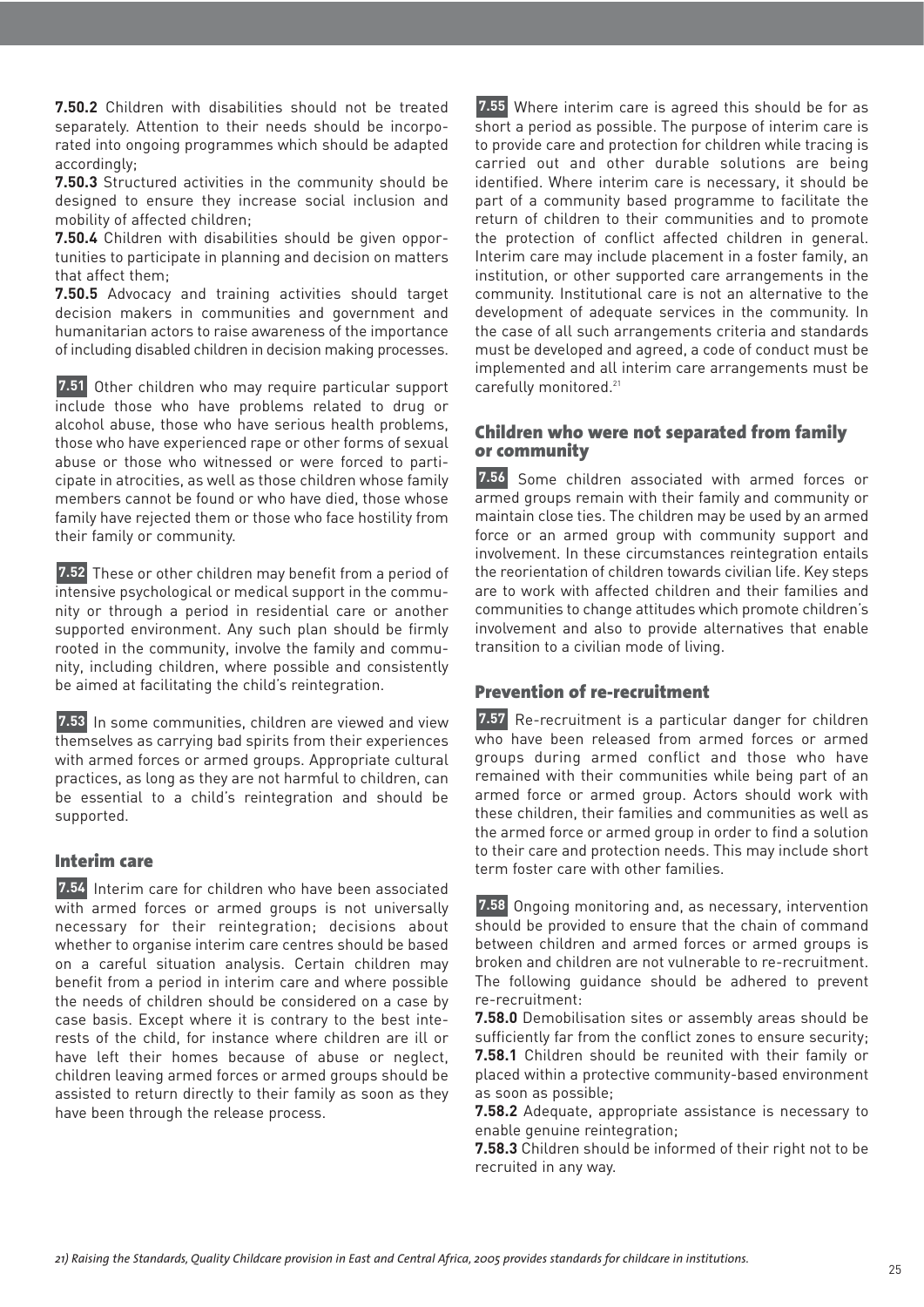**7.50.2** Children with disabilities should not be treated separately. Attention to their needs should be incorporated into ongoing programmes which should be adapted accordingly;

**7.50.3** Structured activities in the community should be designed to ensure they increase social inclusion and mobility of affected children;

**7.50.4** Children with disabilities should be given opportunities to participate in planning and decision on matters that affect them;

**7.50.5** Advocacy and training activities should target decision makers in communities and government and humanitarian actors to raise awareness of the importance of including disabled children in decision making processes.

7.51 Other children who may require particular support include those who have problems related to drug or alcohol abuse, those who have serious health problems, those who have experienced rape or other forms of sexual abuse or those who witnessed or were forced to participate in atrocities, as well as those children whose family members cannot be found or who have died, those whose family have rejected them or those who face hostility from their family or community.

These or other children may benefit from a period of **7.52** intensive psychological or medical support in the community or through a period in residential care or another supported environment. Any such plan should be firmly rooted in the community, involve the family and community, including children, where possible and consistently be aimed at facilitating the child's reintegration.

**7.53** In some communities, children are viewed and view themselves as carrying bad spirits from their experiences with armed forces or armed groups. Appropriate cultural practices, as long as they are not harmful to children, can be essential to a child's reintegration and should be supported.

### **Interim care**

**7.54** Interim care for children who have been associated with armed forces or armed groups is not universally necessary for their reintegration; decisions about whether to organise interim care centres should be based on a careful situation analysis. Certain children may benefit from a period in interim care and where possible the needs of children should be considered on a case by case basis. Except where it is contrary to the best interests of the child, for instance where children are ill or have left their homes because of abuse or neglect, children leaving armed forces or armed groups should be assisted to return directly to their family as soon as they have been through the release process.

Where interim care is agreed this should be for as **7.55** short a period as possible. The purpose of interim care is to provide care and protection for children while tracing is carried out and other durable solutions are being identified. Where interim care is necessary, it should be part of a community based programme to facilitate the return of children to their communities and to promote the protection of conflict affected children in general. Interim care may include placement in a foster family, an institution, or other supported care arrangements in the community. Institutional care is not an alternative to the development of adequate services in the community. In the case of all such arrangements criteria and standards must be developed and agreed, a code of conduct must be implemented and all interim care arrangements must be carefully monitored.<sup>21</sup>

### **Children who were not separated from family or community**

7.56 Some children associated with armed forces or armed groups remain with their family and community or maintain close ties. The children may be used by an armed force or an armed group with community support and involvement. In these circumstances reintegration entails the reorientation of children towards civilian life. Key steps are to work with affected children and their families and communities to change attitudes which promote children's involvement and also to provide alternatives that enable transition to a civilian mode of living.

### **Prevention of re-recruitment**

7.57 Re-recruitment is a particular danger for children who have been released from armed forces or armed groups during armed conflict and those who have remained with their communities while being part of an armed force or armed group. Actors should work with these children, their families and communities as well as the armed force or armed group in order to find a solution to their care and protection needs. This may include short term foster care with other families.

Ongoing monitoring and, as necessary, intervention **7.58** should be provided to ensure that the chain of command between children and armed forces or armed groups is broken and children are not vulnerable to re-recruitment. The following guidance should be adhered to prevent re-recruitment:

**7.58.0** Demobilisation sites or assembly areas should be sufficiently far from the conflict zones to ensure security; **7.58.1** Children should be reunited with their family or placed within a protective community-based environment as soon as possible;

**7.58.2** Adequate, appropriate assistance is necessary to enable genuine reintegration;

**7.58.3** Children should be informed of their right not to be recruited in any way.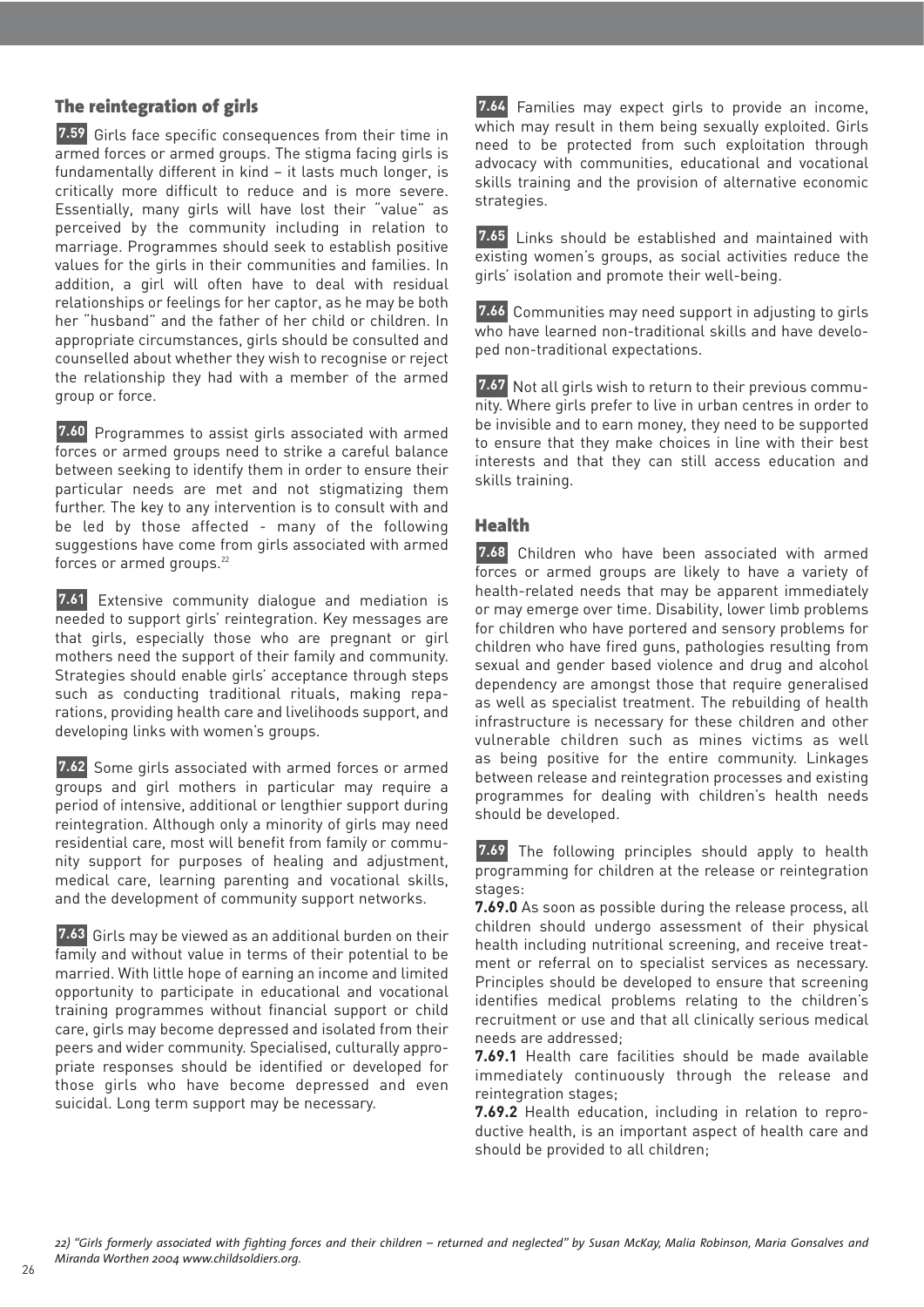### **The reintegration of girls**

Girls face specific consequences from their time in **7.59** armed forces or armed groups. The stigma facing girls is fundamentally different in kind – it lasts much longer, is critically more difficult to reduce and is more severe. Essentially, many girls will have lost their "value" as perceived by the community including in relation to marriage. Programmes should seek to establish positive values for the girls in their communities and families. In addition, a girl will often have to deal with residual relationships or feelings for her captor, as he may be both her "husband" and the father of her child or children. In appropriate circumstances, girls should be consulted and counselled about whether they wish to recognise or reject the relationship they had with a member of the armed group or force.

Programmes to assist girls associated with armed **7.60** forces or armed groups need to strike a careful balance between seeking to identify them in order to ensure their particular needs are met and not stigmatizing them further. The key to any intervention is to consult with and be led by those affected - many of the following suggestions have come from girls associated with armed forces or armed groups.<sup>22</sup>

Extensive community dialogue and mediation is **7.61** needed to support girls' reintegration. Key messages are that girls, especially those who are pregnant or girl mothers need the support of their family and community. Strategies should enable girls' acceptance through steps such as conducting traditional rituals, making reparations, providing health care and livelihoods support, and developing links with women's groups.

7.62 Some girls associated with armed forces or armed groups and girl mothers in particular may require a period of intensive, additional or lengthier support during reintegration. Although only a minority of girls may need residential care, most will benefit from family or community support for purposes of healing and adjustment, medical care, learning parenting and vocational skills, and the development of community support networks.

Girls may be viewed as an additional burden on their **7.63** family and without value in terms of their potential to be married. With little hope of earning an income and limited opportunity to participate in educational and vocational training programmes without financial support or child care, girls may become depressed and isolated from their peers and wider community. Specialised, culturally appropriate responses should be identified or developed for those girls who have become depressed and even suicidal. Long term support may be necessary.

Families may expect girls to provide an income, **7.64** which may result in them being sexually exploited. Girls need to be protected from such exploitation through advocacy with communities, educational and vocational skills training and the provision of alternative economic strategies.

**7.65** Links should be established and maintained with existing women's groups, as social activities reduce the girls' isolation and promote their well-being.

Communities may need support in adjusting to girls **7.66** who have learned non-traditional skills and have developed non-traditional expectations.

7.67 Not all girls wish to return to their previous community. Where girls prefer to live in urban centres in order to be invisible and to earn money, they need to be supported to ensure that they make choices in line with their best interests and that they can still access education and skills training.

### **Health**

7.68 Children who have been associated with armed forces or armed groups are likely to have a variety of health-related needs that may be apparent immediately or may emerge over time. Disability, lower limb problems for children who have portered and sensory problems for children who have fired guns, pathologies resulting from sexual and gender based violence and drug and alcohol dependency are amongst those that require generalised as well as specialist treatment. The rebuilding of health infrastructure is necessary for these children and other vulnerable children such as mines victims as well as being positive for the entire community. Linkages between release and reintegration processes and existing programmes for dealing with children's health needs should be developed.

The following principles should apply to health **7.69** programming for children at the release or reintegration stages:

**7.69.0** As soon as possible during the release process, all children should undergo assessment of their physical health including nutritional screening, and receive treatment or referral on to specialist services as necessary. Principles should be developed to ensure that screening identifies medical problems relating to the children's recruitment or use and that all clinically serious medical needs are addressed;

**7.69.1** Health care facilities should be made available immediately continuously through the release and reintegration stages;

**7.69.2** Health education, including in relation to reproductive health, is an important aspect of health care and should be provided to all children;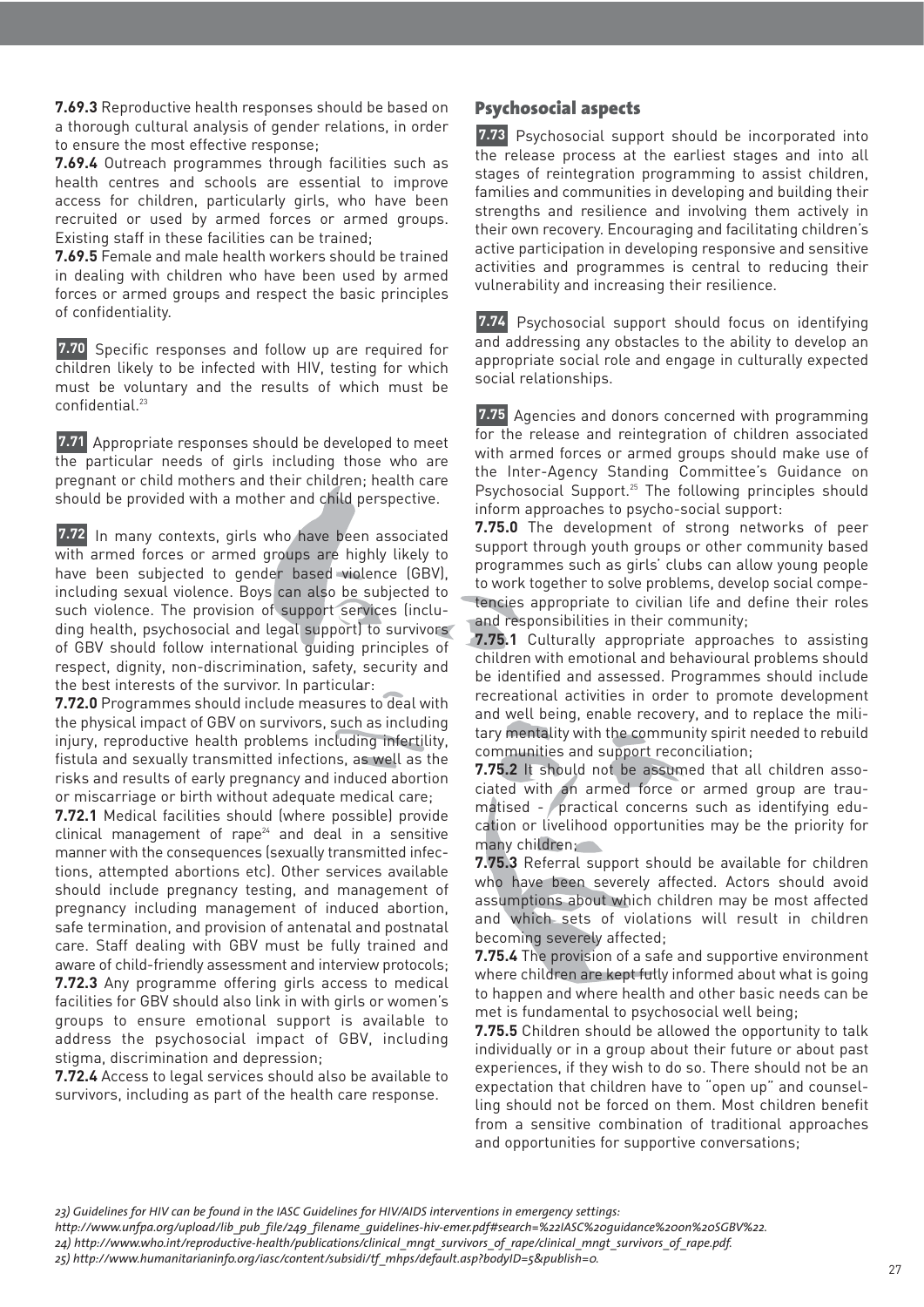**7.69.3** Reproductive health responses should be based on a thorough cultural analysis of gender relations, in order to ensure the most effective response;

**7.69.4** Outreach programmes through facilities such as health centres and schools are essential to improve access for children, particularly girls, who have been recruited or used by armed forces or armed groups. Existing staff in these facilities can be trained;

**7.69.5** Female and male health workers should be trained in dealing with children who have been used by armed forces or armed groups and respect the basic principles of confidentiality.

7.70 Specific responses and follow up are required for children likely to be infected with HIV, testing for which must be voluntary and the results of which must be confidential.<sup>23</sup>

Appropriate responses should be developed to meet **7.71** the particular needs of girls including those who are pregnant or child mothers and their children; health care should be provided with a mother and child perspective.

**7.72** In many contexts, girls who have been associated with armed forces or armed groups are highly likely to have been subjected to gender based violence (GBV), including sexual violence. Boys can also be subjected to such violence. The provision of support services (including health, psychosocial and legal support) to survivors of GBV should follow international guiding principles of respect, dignity, non-discrimination, safety, security and the best interests of the survivor. In particular:

**7.72.0** Programmes should include measures to deal with the physical impact of GBV on survivors, such as including injury, reproductive health problems including infertility. fistula and sexually transmitted infections, as well as the risks and results of early pregnancy and induced abortion or miscarriage or birth without adequate medical care;

**7.72.1** Medical facilities should (where possible) provide clinical management of rape $24$  and deal in a sensitive manner with the consequences (sexually transmitted infections, attempted abortions etc). Other services available should include pregnancy testing, and management of pregnancy including management of induced abortion, safe termination, and provision of antenatal and postnatal care. Staff dealing with GBV must be fully trained and aware of child-friendly assessment and interview protocols; **7.72.3** Any programme offering girls access to medical facilities for GBV should also link in with girls or women's groups to ensure emotional support is available to address the psychosocial impact of GBV, including stigma, discrimination and depression;

**7.72.4** Access to legal services should also be available to survivors, including as part of the health care response.

### **Psychosocial aspects**

7.73 Psychosocial support should be incorporated into the release process at the earliest stages and into all stages of reintegration programming to assist children, families and communities in developing and building their strengths and resilience and involving them actively in their own recovery. Encouraging and facilitating children's active participation in developing responsive and sensitive activities and programmes is central to reducing their vulnerability and increasing their resilience.

Psychosocial support should focus on identifying **7.74** and addressing any obstacles to the ability to develop an appropriate social role and engage in culturally expected social relationships.

Agencies and donors concerned with programming **7.75** for the release and reintegration of children associated with armed forces or armed groups should make use of the Inter-Agency Standing Committee's Guidance on Psychosocial Support.<sup>25</sup> The following principles should inform approaches to psycho-social support:

**7.75.0** The development of strong networks of peer support through youth groups or other community based programmes such as girls' clubs can allow young people to work together to solve problems, develop social competencies appropriate to civilian life and define their roles and responsibilities in their community;

**7.75.1** Culturally appropriate approaches to assisting children with emotional and behavioural problems should be identified and assessed. Programmes should include recreational activities in order to promote development and well being, enable recovery, and to replace the military mentality with the community spirit needed to rebuild communities and support reconciliation;

**7.75.2** It should not be assumed that all children associated with an armed force or armed group are traumatised - practical concerns such as identifying education or livelihood opportunities may be the priority for many children;

**7.75.3** Referral support should be available for children who have been severely affected. Actors should avoid assumptions about which children may be most affected and which sets of violations will result in children becoming severely affected;

**7.75.4** The provision of a safe and supportive environment where children are kept fully informed about what is going to happen and where health and other basic needs can be met is fundamental to psychosocial well being;

**7.75.5** Children should be allowed the opportunity to talk individually or in a group about their future or about past experiences, if they wish to do so. There should not be an expectation that children have to "open up" and counselling should not be forced on them. Most children benefit from a sensitive combination of traditional approaches and opportunities for supportive conversations;

*23) Guidelines for HIV can be found in the IASC Guidelines for HIV/AIDS interventions in emergency settings:*

*http://www.unfpa.org/upload/lib\_pub\_file/249\_filename\_guidelines-hiv-emer.pdf#search=%22IASC%20guidance%20on%20SGBV%22.*

*24) http://www.who.int/reproductive-health/publications/clinical\_mngt\_survivors\_of\_rape/clinical\_mngt\_survivors\_of\_rape.pdf.*

*25) http://www.humanitarianinfo.org/iasc/content/subsidi/tf\_mhps/default.asp?bodyID=5&publish=0.*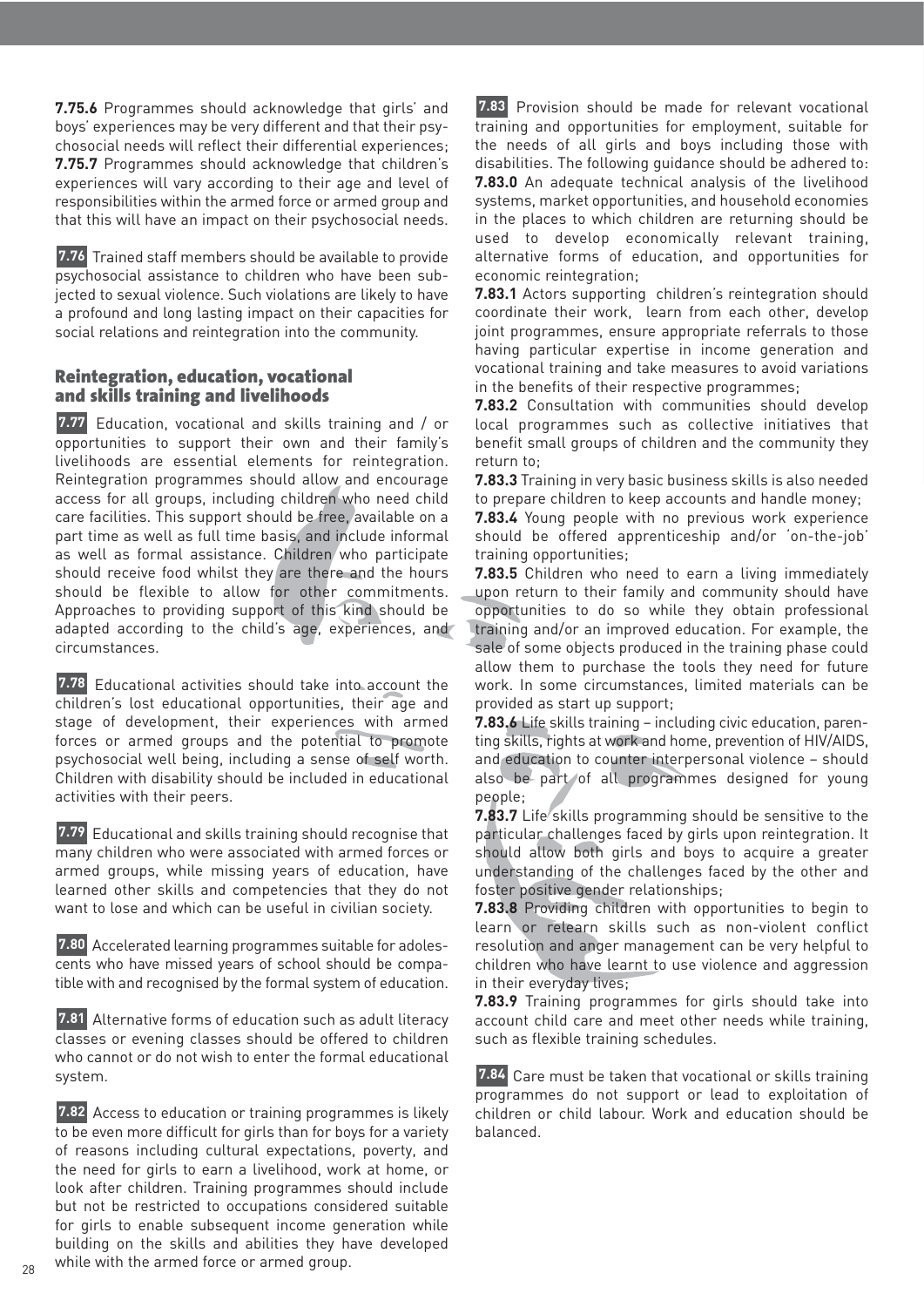**7.75.6** Programmes should acknowledge that girls' and boys' experiences may be very different and that their psychosocial needs will reflect their differential experiences; **7.75.7** Programmes should acknowledge that children's experiences will vary according to their age and level of responsibilities within the armed force or armed group and that this will have an impact on their psychosocial needs.

Trained staff members should be available to provide **7.76** psychosocial assistance to children who have been subjected to sexual violence. Such violations are likely to have a profound and long lasting impact on their capacities for social relations and reintegration into the community.

### **Reintegration, education, vocational and skills training and livelihoods**

Education, vocational and skills training and / or **7.77** opportunities to support their own and their family's livelihoods are essential elements for reintegration. Reintegration programmes should allow and encourage access for all groups, including children who need child care facilities. This support should be free, available on a part time as well as full time basis, and include informal as well as formal assistance. Children who participate should receive food whilst they are there and the hours should be flexible to allow for other commitments. Approaches to providing support of this kind should be adapted according to the child's age, experiences, and circumstances.

Educational activities should take into account the **7.78** children's lost educational opportunities, their age and stage of development, their experiences with armed forces or armed groups and the potential to promote psychosocial well being, including a sense of self worth. Children with disability should be included in educational activities with their peers.

Educational and skills training should recognise that **7.79** many children who were associated with armed forces or armed groups, while missing years of education, have learned other skills and competencies that they do not want to lose and which can be useful in civilian society.

Accelerated learning programmes suitable for adoles-**7.80** cents who have missed years of school should be compatible with and recognised by the formal system of education.

Alternative forms of education such as adult literacy **7.81** classes or evening classes should be offered to children who cannot or do not wish to enter the formal educational system.

Access to education or training programmes is likely **7.82** to be even more difficult for girls than for boys for a variety of reasons including cultural expectations, poverty, and the need for girls to earn a livelihood, work at home, or look after children. Training programmes should include but not be restricted to occupations considered suitable for girls to enable subsequent income generation while building on the skills and abilities they have developed while with the armed force or armed group.

Provision should be made for relevant vocational **7.83** training and opportunities for employment, suitable for the needs of all girls and boys including those with disabilities. The following guidance should be adhered to: **7.83.0** An adequate technical analysis of the livelihood systems, market opportunities, and household economies in the places to which children are returning should be used to develop economically relevant training, alternative forms of education, and opportunities for economic reintegration;

**7.83.1** Actors supporting children's reintegration should coordinate their work, learn from each other, develop joint programmes, ensure appropriate referrals to those having particular expertise in income generation and vocational training and take measures to avoid variations in the benefits of their respective programmes;

**7.83.2** Consultation with communities should develop local programmes such as collective initiatives that benefit small groups of children and the community they return to;

**7.83.3** Training in very basic business skills is also needed to prepare children to keep accounts and handle money;

**7.83.4** Young people with no previous work experience should be offered apprenticeship and/or 'on-the-job' training opportunities;

**7.83.5** Children who need to earn a living immediately upon return to their family and community should have opportunities to do so while they obtain professional training and/or an improved education. For example, the sale of some objects produced in the training phase could allow them to purchase the tools they need for future work. In some circumstances, limited materials can be provided as start up support;

**7.83.6** Life skills training – including civic education, parenting skills, rights at work and home, prevention of HIV/AIDS, and education to counter interpersonal violence – should also be part of all programmes designed for young people;

**7.83.7** Life skills programming should be sensitive to the particular challenges faced by girls upon reintegration. It should allow both girls and boys to acquire a greater understanding of the challenges faced by the other and foster positive gender relationships;

**7.83.8** Providing children with opportunities to begin to learn or relearn skills such as non-violent conflict resolution and anger management can be very helpful to children who have learnt to use violence and aggression in their everyday lives;

**7.83.9** Training programmes for girls should take into account child care and meet other needs while training, such as flexible training schedules.

Care must be taken that vocational or skills training **7.84** programmes do not support or lead to exploitation of children or child labour. Work and education should be balanced.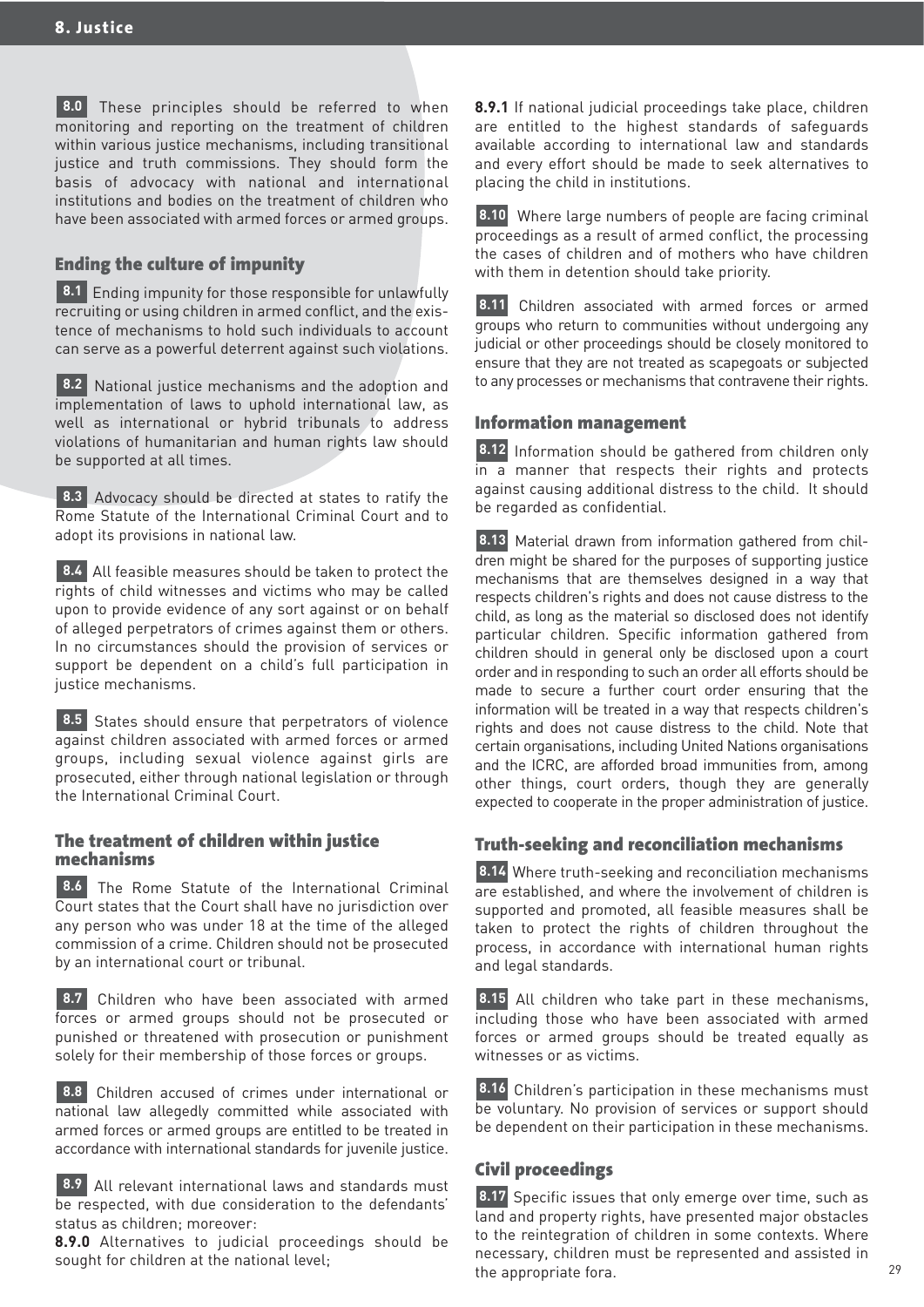These principles should be referred to when **8.0** monitoring and reporting on the treatment of children within various justice mechanisms, including transitional justice and truth commissions. They should form the basis of advocacy with national and international institutions and bodies on the treatment of children who have been associated with armed forces or armed groups.

### **Ending the culture of impunity**

Ending impunity for those responsible for unlawfully **8.1** recruiting or using children in armed conflict, and the existence of mechanisms to hold such individuals to account can serve as a powerful deterrent against such violations.

8.2 National justice mechanisms and the adoption and implementation of laws to uphold international law, as well as international or hybrid tribunals to address violations of humanitarian and human rights law should be supported at all times.

8.3 Advocacy should be directed at states to ratify the Rome Statute of the International Criminal Court and to adopt its provisions in national law.

All feasible measures should be taken to protect the **8.4** rights of child witnesses and victims who may be called upon to provide evidence of any sort against or on behalf of alleged perpetrators of crimes against them or others. In no circumstances should the provision of services or support be dependent on a child's full participation in justice mechanisms.

8.5 States should ensure that perpetrators of violence against children associated with armed forces or armed groups, including sexual violence against girls are prosecuted, either through national legislation or through the International Criminal Court.

### **The treatment of children within justice mechanisms**

8.6 The Rome Statute of the International Criminal Court states that the Court shall have no jurisdiction over any person who was under 18 at the time of the alleged commission of a crime. Children should not be prosecuted by an international court or tribunal.

Children who have been associated with armed **8.7** forces or armed groups should not be prosecuted or punished or threatened with prosecution or punishment solely for their membership of those forces or groups.

Children accused of crimes under international or **8.8** national law allegedly committed while associated with armed forces or armed groups are entitled to be treated in accordance with international standards for juvenile justice.

All relevant international laws and standards must **8.9** be respected, with due consideration to the defendants' status as children; moreover:

**8.9.0** Alternatives to judicial proceedings should be sought for children at the national level;

**8.9.1** If national judicial proceedings take place, children are entitled to the highest standards of safeguards available according to international law and standards and every effort should be made to seek alternatives to placing the child in institutions.

Where large numbers of people are facing criminal **8.10** proceedings as a result of armed conflict, the processing the cases of children and of mothers who have children with them in detention should take priority.

8.11 Children associated with armed forces or armed groups who return to communities without undergoing any judicial or other proceedings should be closely monitored to ensure that they are not treated as scapegoats or subjected to any processes or mechanisms that contravene their rights.

### **Information management**

8.12 Information should be gathered from children only in a manner that respects their rights and protects against causing additional distress to the child. It should be regarded as confidential.

8.13 Material drawn from information gathered from children might be shared for the purposes of supporting justice mechanisms that are themselves designed in a way that respects children's rights and does not cause distress to the child, as long as the material so disclosed does not identify particular children. Specific information gathered from children should in general only be disclosed upon a court order and in responding to such an order all efforts should be made to secure a further court order ensuring that the information will be treated in a way that respects children's rights and does not cause distress to the child. Note that certain organisations, including United Nations organisations and the ICRC, are afforded broad immunities from, among other things, court orders, though they are generally expected to cooperate in the proper administration of justice.

### **Truth-seeking and reconciliation mechanisms**

Where truth-seeking and reconciliation mechanisms **8.14** are established, and where the involvement of children is supported and promoted, all feasible measures shall be taken to protect the rights of children throughout the process, in accordance with international human rights and legal standards.

8.15 All children who take part in these mechanisms, including those who have been associated with armed forces or armed groups should be treated equally as witnesses or as victims.

8.16 Children's participation in these mechanisms must be voluntary. No provision of services or support should be dependent on their participation in these mechanisms.

### **Civil proceedings**

8.17 Specific issues that only emerge over time, such as land and property rights, have presented major obstacles to the reintegration of children in some contexts. Where necessary, children must be represented and assisted in the appropriate fora.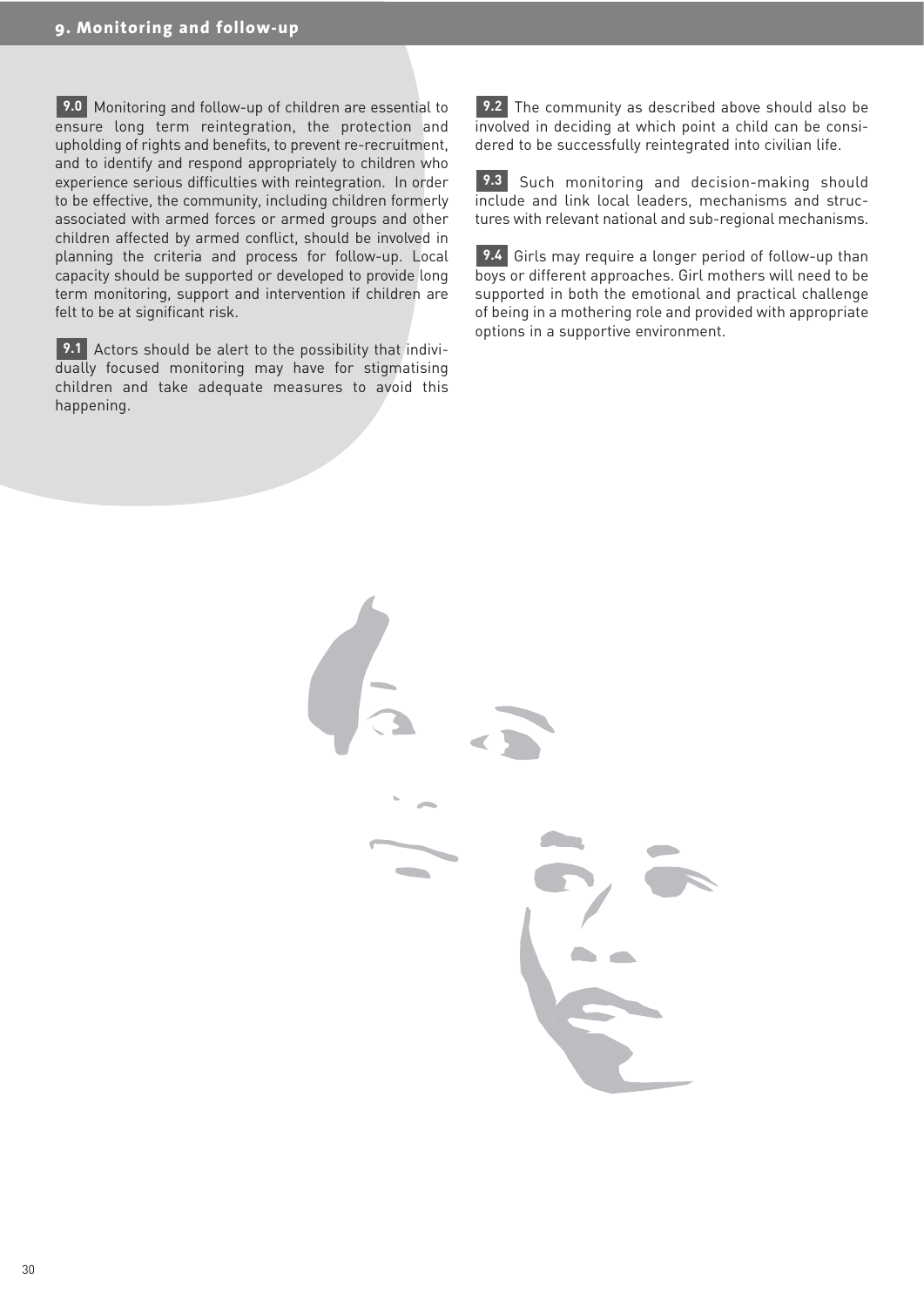**9.0** Monitoring and follow-up of children are essential to ensure long term reintegration, the protection and upholding of rights and benefits, to prevent re-recruitment, and to identify and respond appropriately to children who experience serious difficulties with reintegration. In order to be effective, the community, including children formerly associated with armed forces or armed groups and other children affected by armed conflict, should be involved in planning the criteria and process for follow-up. Local capacity should be supported or developed to provide long term monitoring, support and intervention if children are felt to be at significant risk.

9.1 Actors should be alert to the possibility that individually focused monitoring may have for stigmatising children and take adequate measures to avoid this happening.

**9.2** The community as described above should also be involved in deciding at which point a child can be considered to be successfully reintegrated into civilian life.

9.3 Such monitoring and decision-making should include and link local leaders, mechanisms and structures with relevant national and sub-regional mechanisms.

**9.4** Girls may require a longer period of follow-up than boys or different approaches. Girl mothers will need to be supported in both the emotional and practical challenge of being in a mothering role and provided with appropriate options in a supportive environment.

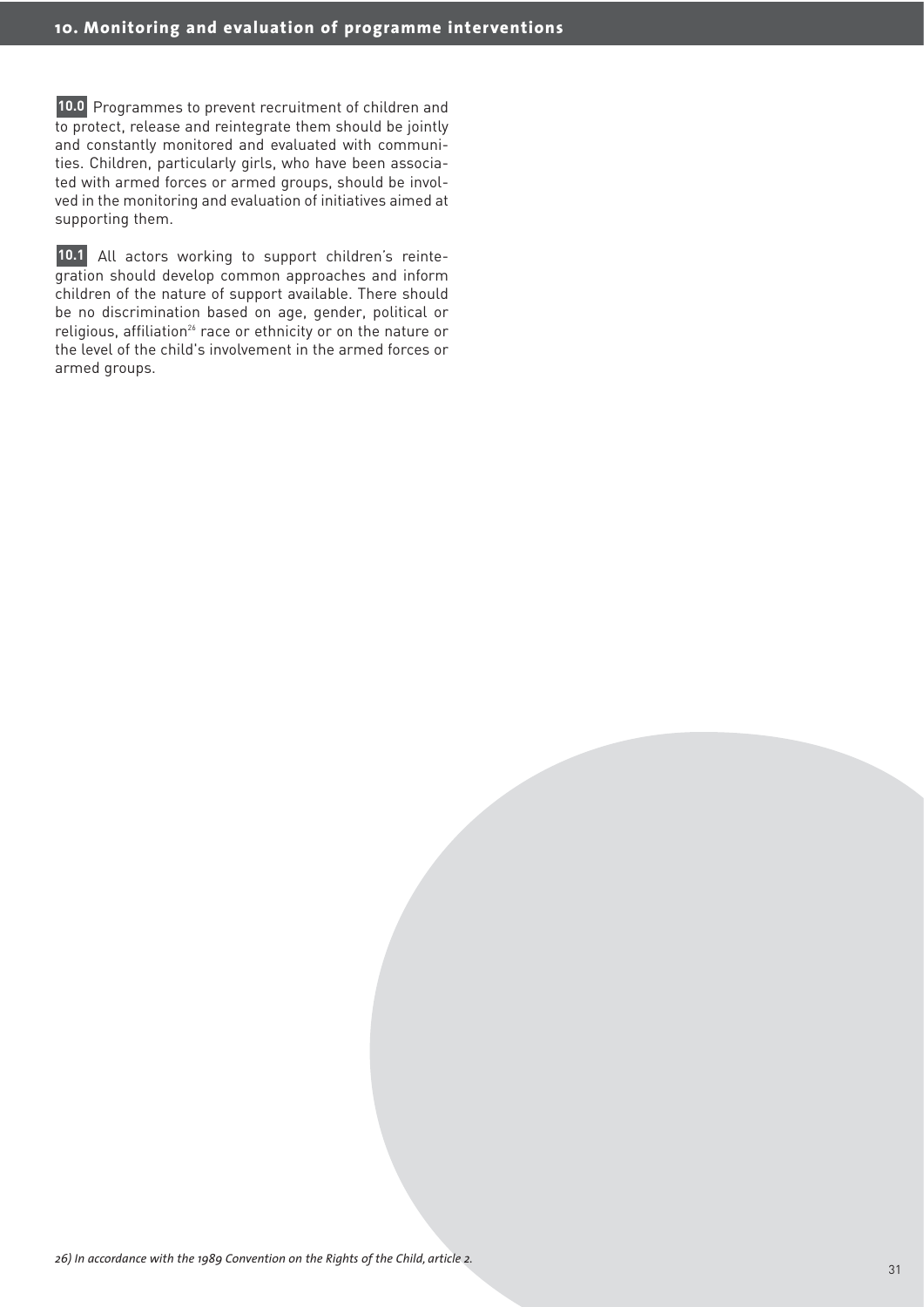10.0 Programmes to prevent recruitment of children and to protect, release and reintegrate them should be jointly and constantly monitored and evaluated with communities. Children, particularly girls, who have been associated with armed forces or armed groups, should be involved in the monitoring and evaluation of initiatives aimed at supporting them.

10.1 All actors working to support children's reintegration should develop common approaches and inform children of the nature of support available. There should be no discrimination based on age, gender, political or religious, affiliation<sup>26</sup> race or ethnicity or on the nature or the level of the child's involvement in the armed forces or armed groups.